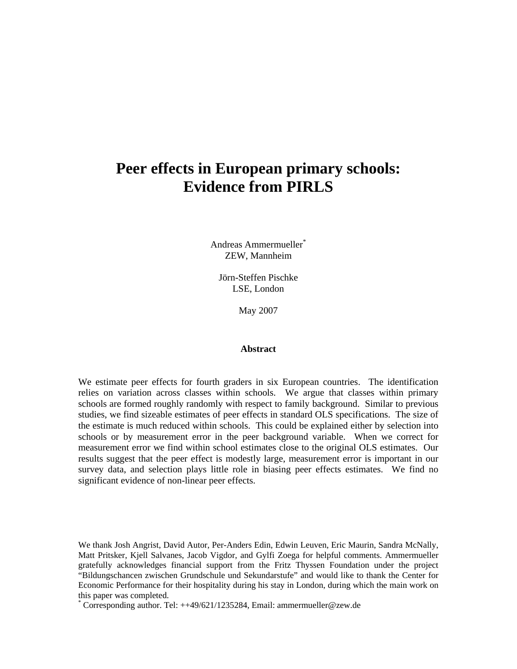# **Peer effects in European primary schools: Evidence from PIRLS**

Andreas Ammermueller\* ZEW, Mannheim

Jörn-Steffen Pischke LSE, London

May 2007

#### **Abstract**

We estimate peer effects for fourth graders in six European countries. The identification relies on variation across classes within schools. We argue that classes within primary schools are formed roughly randomly with respect to family background. Similar to previous studies, we find sizeable estimates of peer effects in standard OLS specifications. The size of the estimate is much reduced within schools. This could be explained either by selection into schools or by measurement error in the peer background variable. When we correct for measurement error we find within school estimates close to the original OLS estimates. Our results suggest that the peer effect is modestly large, measurement error is important in our survey data, and selection plays little role in biasing peer effects estimates. We find no significant evidence of non-linear peer effects.

We thank Josh Angrist, David Autor, Per-Anders Edin, Edwin Leuven, Eric Maurin, Sandra McNally, Matt Pritsker, Kjell Salvanes, Jacob Vigdor, and Gylfi Zoega for helpful comments. Ammermueller gratefully acknowledges financial support from the Fritz Thyssen Foundation under the project "Bildungschancen zwischen Grundschule und Sekundarstufe" and would like to thank the Center for Economic Performance for their hospitality during his stay in London, during which the main work on this paper was completed.

\* Corresponding author. Tel: ++49/621/1235284, Email: ammermueller@zew.de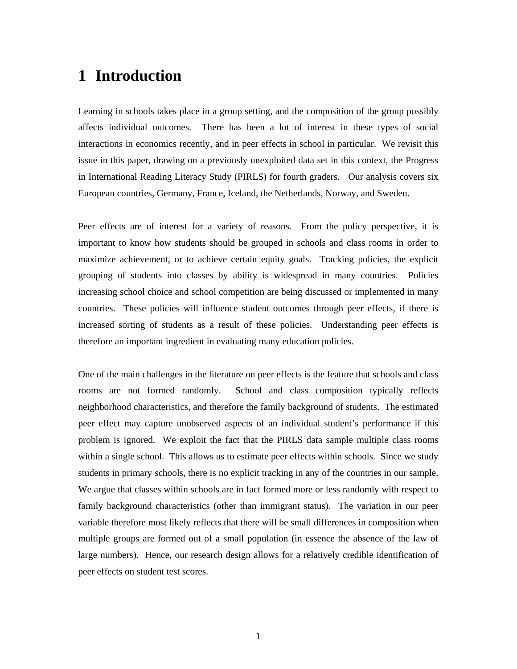# **1 Introduction**

Learning in schools takes place in a group setting, and the composition of the group possibly affects individual outcomes. There has been a lot of interest in these types of social interactions in economics recently, and in peer effects in school in particular. We revisit this issue in this paper, drawing on a previously unexploited data set in this context, the Progress in International Reading Literacy Study (PIRLS) for fourth graders. Our analysis covers six European countries, Germany, France, Iceland, the Netherlands, Norway, and Sweden.

Peer effects are of interest for a variety of reasons. From the policy perspective, it is important to know how students should be grouped in schools and class rooms in order to maximize achievement, or to achieve certain equity goals. Tracking policies, the explicit grouping of students into classes by ability is widespread in many countries. Policies increasing school choice and school competition are being discussed or implemented in many countries. These policies will influence student outcomes through peer effects, if there is increased sorting of students as a result of these policies. Understanding peer effects is therefore an important ingredient in evaluating many education policies.

One of the main challenges in the literature on peer effects is the feature that schools and class rooms are not formed randomly. School and class composition typically reflects neighborhood characteristics, and therefore the family background of students. The estimated peer effect may capture unobserved aspects of an individual student's performance if this problem is ignored. We exploit the fact that the PIRLS data sample multiple class rooms within a single school. This allows us to estimate peer effects within schools. Since we study students in primary schools, there is no explicit tracking in any of the countries in our sample. We argue that classes within schools are in fact formed more or less randomly with respect to family background characteristics (other than immigrant status). The variation in our peer variable therefore most likely reflects that there will be small differences in composition when multiple groups are formed out of a small population (in essence the absence of the law of large numbers). Hence, our research design allows for a relatively credible identification of peer effects on student test scores.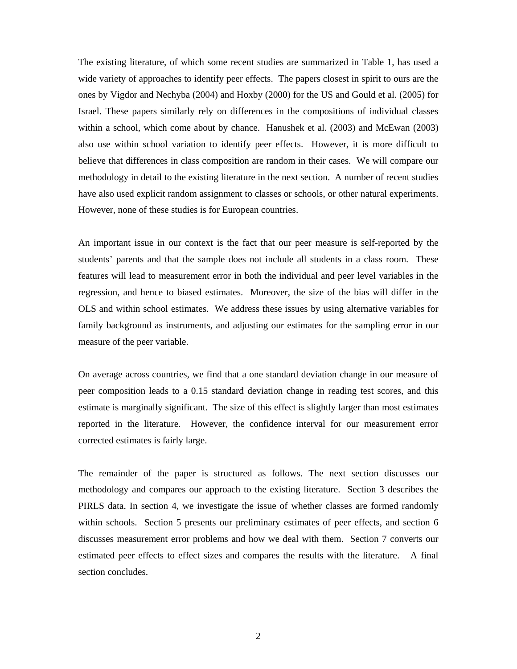The existing literature, of which some recent studies are summarized in Table 1, has used a wide variety of approaches to identify peer effects. The papers closest in spirit to ours are the ones by Vigdor and Nechyba (2004) and Hoxby (2000) for the US and Gould et al. (2005) for Israel. These papers similarly rely on differences in the compositions of individual classes within a school, which come about by chance. Hanushek et al. (2003) and McEwan (2003) also use within school variation to identify peer effects. However, it is more difficult to believe that differences in class composition are random in their cases. We will compare our methodology in detail to the existing literature in the next section. A number of recent studies have also used explicit random assignment to classes or schools, or other natural experiments. However, none of these studies is for European countries.

An important issue in our context is the fact that our peer measure is self-reported by the students' parents and that the sample does not include all students in a class room. These features will lead to measurement error in both the individual and peer level variables in the regression, and hence to biased estimates. Moreover, the size of the bias will differ in the OLS and within school estimates. We address these issues by using alternative variables for family background as instruments, and adjusting our estimates for the sampling error in our measure of the peer variable.

On average across countries, we find that a one standard deviation change in our measure of peer composition leads to a 0.15 standard deviation change in reading test scores, and this estimate is marginally significant. The size of this effect is slightly larger than most estimates reported in the literature. However, the confidence interval for our measurement error corrected estimates is fairly large.

The remainder of the paper is structured as follows. The next section discusses our methodology and compares our approach to the existing literature. Section 3 describes the PIRLS data. In section 4, we investigate the issue of whether classes are formed randomly within schools. Section 5 presents our preliminary estimates of peer effects, and section 6 discusses measurement error problems and how we deal with them. Section 7 converts our estimated peer effects to effect sizes and compares the results with the literature. A final section concludes.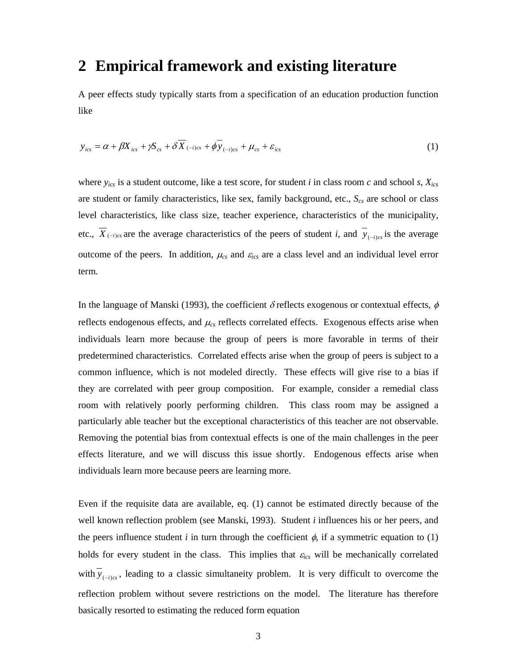### **2 Empirical framework and existing literature**

A peer effects study typically starts from a specification of an education production function like

$$
y_{ics} = \alpha + \beta X_{ics} + \gamma \mathcal{S}_{cs} + \delta \overline{X}_{(-i)cs} + \phi \overline{y}_{(-i)cs} + \mu_{cs} + \varepsilon_{ics}
$$
(1)

where *yics* is a student outcome, like a test score, for student *i* in class room *c* and school *s*, *Xics* are student or family characteristics, like sex, family background, etc.,  $S_{cs}$  are school or class level characteristics, like class size, teacher experience, characteristics of the municipality, etc.,  $\overline{X}_{(-i)cs}$  are the average characteristics of the peers of student *i*, and  $\overline{y}_{(-i)cs}$  is the average outcome of the peers. In addition,  $\mu_{cs}$  and  $\varepsilon_{ics}$  are a class level and an individual level error term.

In the language of Manski (1993), the coefficient  $\delta$  reflects exogenous or contextual effects,  $\phi$ reflects endogenous effects, and <sup>μ</sup>*cs* reflects correlated effects. Exogenous effects arise when individuals learn more because the group of peers is more favorable in terms of their predetermined characteristics. Correlated effects arise when the group of peers is subject to a common influence, which is not modeled directly. These effects will give rise to a bias if they are correlated with peer group composition. For example, consider a remedial class room with relatively poorly performing children. This class room may be assigned a particularly able teacher but the exceptional characteristics of this teacher are not observable. Removing the potential bias from contextual effects is one of the main challenges in the peer effects literature, and we will discuss this issue shortly. Endogenous effects arise when individuals learn more because peers are learning more.

Even if the requisite data are available, eq. (1) cannot be estimated directly because of the well known reflection problem (see Manski, 1993). Student *i* influences his or her peers, and the peers influence student *i* in turn through the coefficient  $\phi$ , if a symmetric equation to (1) holds for every student in the class. This implies that <sup>ε</sup>*ics* will be mechanically correlated with  $y_{(-i)cs}$ , leading to a classic simultaneity problem. It is very difficult to overcome the reflection problem without severe restrictions on the model. The literature has therefore basically resorted to estimating the reduced form equation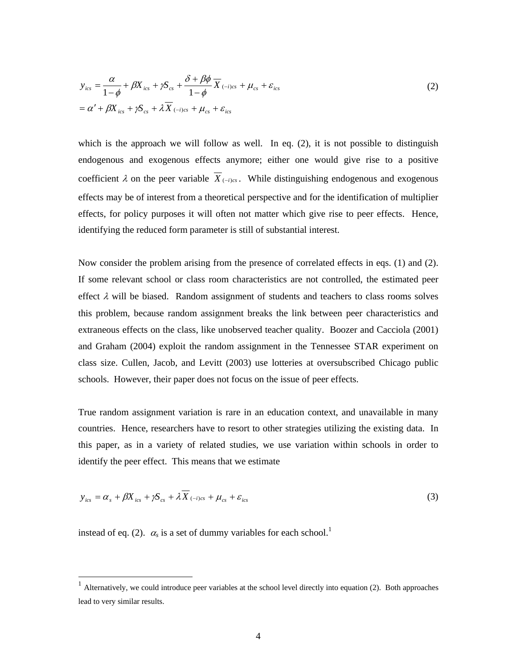$$
y_{ics} = \frac{\alpha}{1 - \phi} + \beta X_{ics} + \gamma S_{cs} + \frac{\delta + \beta \phi}{1 - \phi} \overline{X}_{(-i)cs} + \mu_{cs} + \varepsilon_{ics}
$$
  
=  $\alpha' + \beta X_{ics} + \gamma S_{cs} + \lambda \overline{X}_{(-i)cs} + \mu_{cs} + \varepsilon_{ics}$  (2)

which is the approach we will follow as well. In eq.  $(2)$ , it is not possible to distinguish endogenous and exogenous effects anymore; either one would give rise to a positive coefficient  $\lambda$  on the peer variable  $\overline{X}_{(-i)cs}$ . While distinguishing endogenous and exogenous effects may be of interest from a theoretical perspective and for the identification of multiplier effects, for policy purposes it will often not matter which give rise to peer effects. Hence, identifying the reduced form parameter is still of substantial interest.

Now consider the problem arising from the presence of correlated effects in eqs. (1) and (2). If some relevant school or class room characteristics are not controlled, the estimated peer effect  $\lambda$  will be biased. Random assignment of students and teachers to class rooms solves this problem, because random assignment breaks the link between peer characteristics and extraneous effects on the class, like unobserved teacher quality. Boozer and Cacciola (2001) and Graham (2004) exploit the random assignment in the Tennessee STAR experiment on class size. Cullen, Jacob, and Levitt (2003) use lotteries at oversubscribed Chicago public schools. However, their paper does not focus on the issue of peer effects.

True random assignment variation is rare in an education context, and unavailable in many countries. Hence, researchers have to resort to other strategies utilizing the existing data. In this paper, as in a variety of related studies, we use variation within schools in order to identify the peer effect. This means that we estimate

$$
y_{ics} = \alpha_s + \beta X_{ics} + \gamma S_{cs} + \lambda X_{(-i)cs} + \mu_{cs} + \varepsilon_{ics}
$$
\n(3)

instead of eq. (2).  $\alpha_s$  is a set of dummy variables for each school.<sup>1</sup>

 $\overline{a}$ 

 $<sup>1</sup>$  Alternatively, we could introduce peer variables at the school level directly into equation (2). Both approaches</sup> lead to very similar results.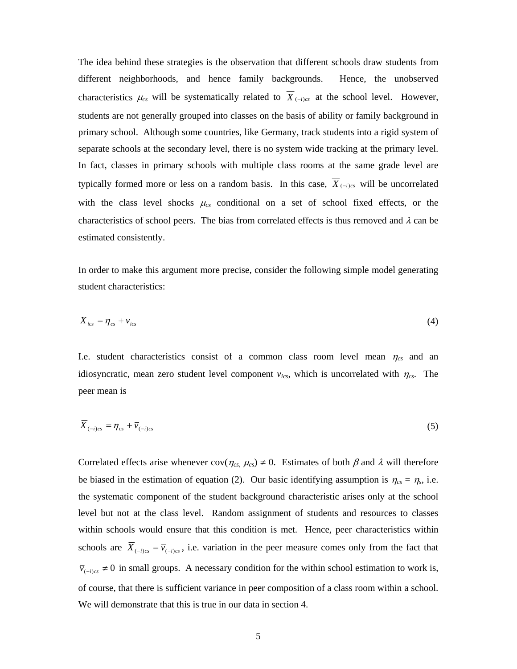The idea behind these strategies is the observation that different schools draw students from different neighborhoods, and hence family backgrounds. Hence, the unobserved characteristics  $\mu_{cs}$  will be systematically related to  $\overline{X}_{(-i)cs}$  at the school level. However, students are not generally grouped into classes on the basis of ability or family background in primary school. Although some countries, like Germany, track students into a rigid system of separate schools at the secondary level, there is no system wide tracking at the primary level. In fact, classes in primary schools with multiple class rooms at the same grade level are typically formed more or less on a random basis. In this case,  $\overline{X}_{(-i)cs}$  will be uncorrelated with the class level shocks <sup>μ</sup>*cs* conditional on a set of school fixed effects, or the characteristics of school peers. The bias from correlated effects is thus removed and  $\lambda$  can be estimated consistently.

In order to make this argument more precise, consider the following simple model generating student characteristics:

$$
X_{ics} = \eta_{cs} + v_{ics} \tag{4}
$$

I.e. student characteristics consist of a common class room level mean  $\eta_{cs}$  and an idiosyncratic, mean zero student level component *vics*, which is uncorrelated with <sup>η</sup>*cs*. The peer mean is

$$
\overline{X}_{(-i)c s} = \eta_{cs} + \overline{\nu}_{(-i)c s} \tag{5}
$$

Correlated effects arise whenever  $cov(\eta_{cs}, \mu_{cs}) \neq 0$ . Estimates of both  $\beta$  and  $\lambda$  will therefore be biased in the estimation of equation (2). Our basic identifying assumption is  $\eta_{cs} = \eta_s$ , i.e. the systematic component of the student background characteristic arises only at the school level but not at the class level. Random assignment of students and resources to classes within schools would ensure that this condition is met. Hence, peer characteristics within schools are  $\overline{X}_{(-i)c_s} = \overline{v}_{(-i)c_s}$ , i.e. variation in the peer measure comes only from the fact that  $\overline{v}_{(-i)cs}$  ≠ 0 in small groups. A necessary condition for the within school estimation to work is, of course, that there is sufficient variance in peer composition of a class room within a school. We will demonstrate that this is true in our data in section 4.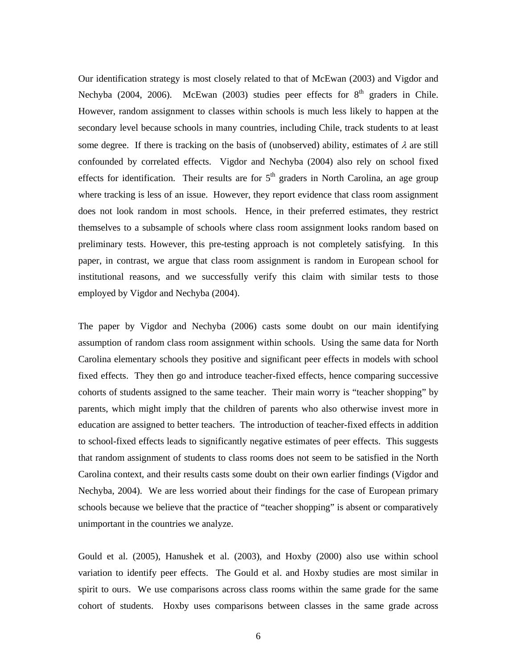Our identification strategy is most closely related to that of McEwan (2003) and Vigdor and Nechyba (2004, 2006). McEwan (2003) studies peer effects for  $8<sup>th</sup>$  graders in Chile. However, random assignment to classes within schools is much less likely to happen at the secondary level because schools in many countries, including Chile, track students to at least some degree. If there is tracking on the basis of (unobserved) ability, estimates of  $\lambda$  are still confounded by correlated effects. Vigdor and Nechyba (2004) also rely on school fixed effects for identification. Their results are for  $5<sup>th</sup>$  graders in North Carolina, an age group where tracking is less of an issue. However, they report evidence that class room assignment does not look random in most schools. Hence, in their preferred estimates, they restrict themselves to a subsample of schools where class room assignment looks random based on preliminary tests. However, this pre-testing approach is not completely satisfying. In this paper, in contrast, we argue that class room assignment is random in European school for institutional reasons, and we successfully verify this claim with similar tests to those employed by Vigdor and Nechyba (2004).

The paper by Vigdor and Nechyba (2006) casts some doubt on our main identifying assumption of random class room assignment within schools. Using the same data for North Carolina elementary schools they positive and significant peer effects in models with school fixed effects. They then go and introduce teacher-fixed effects, hence comparing successive cohorts of students assigned to the same teacher. Their main worry is "teacher shopping" by parents, which might imply that the children of parents who also otherwise invest more in education are assigned to better teachers. The introduction of teacher-fixed effects in addition to school-fixed effects leads to significantly negative estimates of peer effects. This suggests that random assignment of students to class rooms does not seem to be satisfied in the North Carolina context, and their results casts some doubt on their own earlier findings (Vigdor and Nechyba, 2004). We are less worried about their findings for the case of European primary schools because we believe that the practice of "teacher shopping" is absent or comparatively unimportant in the countries we analyze.

Gould et al. (2005), Hanushek et al. (2003), and Hoxby (2000) also use within school variation to identify peer effects. The Gould et al. and Hoxby studies are most similar in spirit to ours. We use comparisons across class rooms within the same grade for the same cohort of students. Hoxby uses comparisons between classes in the same grade across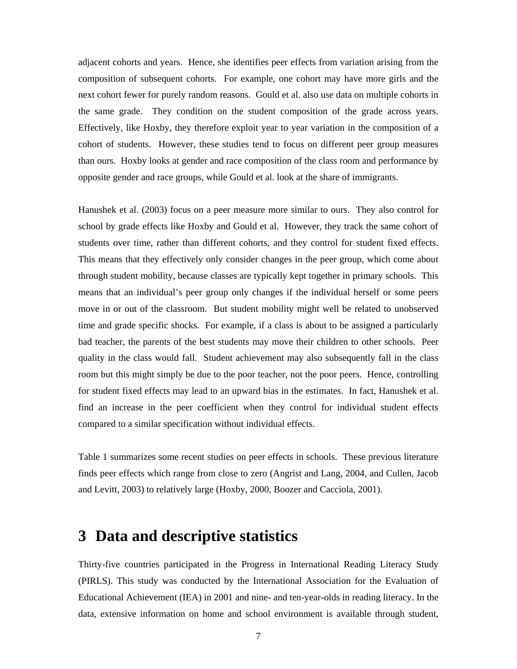adjacent cohorts and years. Hence, she identifies peer effects from variation arising from the composition of subsequent cohorts. For example, one cohort may have more girls and the next cohort fewer for purely random reasons. Gould et al. also use data on multiple cohorts in the same grade. They condition on the student composition of the grade across years. Effectively, like Hoxby, they therefore exploit year to year variation in the composition of a cohort of students. However, these studies tend to focus on different peer group measures than ours. Hoxby looks at gender and race composition of the class room and performance by opposite gender and race groups, while Gould et al. look at the share of immigrants.

Hanushek et al. (2003) focus on a peer measure more similar to ours. They also control for school by grade effects like Hoxby and Gould et al. However, they track the same cohort of students over time, rather than different cohorts, and they control for student fixed effects. This means that they effectively only consider changes in the peer group, which come about through student mobility, because classes are typically kept together in primary schools. This means that an individual's peer group only changes if the individual herself or some peers move in or out of the classroom. But student mobility might well be related to unobserved time and grade specific shocks. For example, if a class is about to be assigned a particularly bad teacher, the parents of the best students may move their children to other schools. Peer quality in the class would fall. Student achievement may also subsequently fall in the class room but this might simply be due to the poor teacher, not the poor peers. Hence, controlling for student fixed effects may lead to an upward bias in the estimates. In fact, Hanushek et al. find an increase in the peer coefficient when they control for individual student effects compared to a similar specification without individual effects.

Table 1 summarizes some recent studies on peer effects in schools. These previous literature finds peer effects which range from close to zero (Angrist and Lang, 2004, and Cullen, Jacob and Levitt, 2003) to relatively large (Hoxby, 2000, Boozer and Cacciola, 2001).

### **3 Data and descriptive statistics**

Thirty-five countries participated in the Progress in International Reading Literacy Study (PIRLS). This study was conducted by the International Association for the Evaluation of Educational Achievement (IEA) in 2001 and nine- and ten-year-olds in reading literacy. In the data, extensive information on home and school environment is available through student,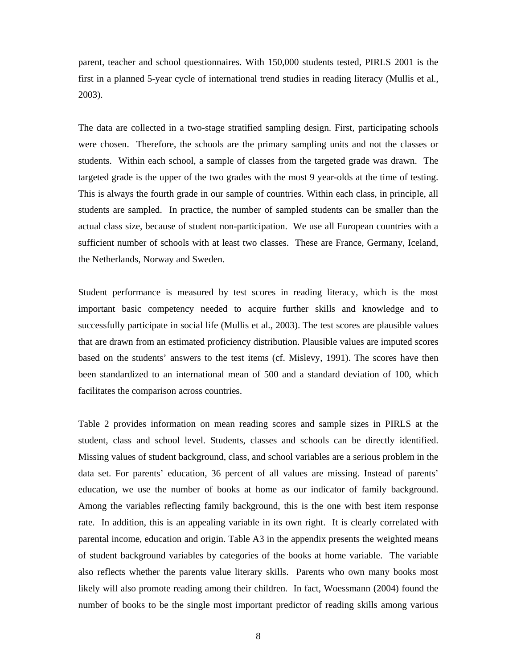parent, teacher and school questionnaires. With 150,000 students tested, PIRLS 2001 is the first in a planned 5-year cycle of international trend studies in reading literacy (Mullis et al., 2003).

The data are collected in a two-stage stratified sampling design. First, participating schools were chosen. Therefore, the schools are the primary sampling units and not the classes or students. Within each school, a sample of classes from the targeted grade was drawn. The targeted grade is the upper of the two grades with the most 9 year-olds at the time of testing. This is always the fourth grade in our sample of countries. Within each class, in principle, all students are sampled. In practice, the number of sampled students can be smaller than the actual class size, because of student non-participation. We use all European countries with a sufficient number of schools with at least two classes. These are France, Germany, Iceland, the Netherlands, Norway and Sweden.

Student performance is measured by test scores in reading literacy, which is the most important basic competency needed to acquire further skills and knowledge and to successfully participate in social life (Mullis et al., 2003). The test scores are plausible values that are drawn from an estimated proficiency distribution. Plausible values are imputed scores based on the students' answers to the test items (cf. Mislevy, 1991). The scores have then been standardized to an international mean of 500 and a standard deviation of 100, which facilitates the comparison across countries.

Table 2 provides information on mean reading scores and sample sizes in PIRLS at the student, class and school level. Students, classes and schools can be directly identified. Missing values of student background, class, and school variables are a serious problem in the data set. For parents' education, 36 percent of all values are missing. Instead of parents' education, we use the number of books at home as our indicator of family background. Among the variables reflecting family background, this is the one with best item response rate. In addition, this is an appealing variable in its own right. It is clearly correlated with parental income, education and origin. Table A3 in the appendix presents the weighted means of student background variables by categories of the books at home variable. The variable also reflects whether the parents value literary skills. Parents who own many books most likely will also promote reading among their children. In fact, Woessmann (2004) found the number of books to be the single most important predictor of reading skills among various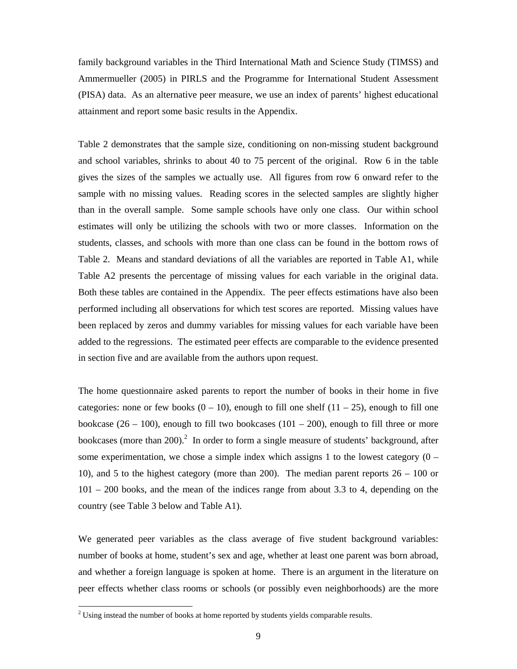family background variables in the Third International Math and Science Study (TIMSS) and Ammermueller (2005) in PIRLS and the Programme for International Student Assessment (PISA) data. As an alternative peer measure, we use an index of parents' highest educational attainment and report some basic results in the Appendix.

Table 2 demonstrates that the sample size, conditioning on non-missing student background and school variables, shrinks to about 40 to 75 percent of the original. Row 6 in the table gives the sizes of the samples we actually use. All figures from row 6 onward refer to the sample with no missing values. Reading scores in the selected samples are slightly higher than in the overall sample. Some sample schools have only one class. Our within school estimates will only be utilizing the schools with two or more classes. Information on the students, classes, and schools with more than one class can be found in the bottom rows of Table 2. Means and standard deviations of all the variables are reported in Table A1, while Table A2 presents the percentage of missing values for each variable in the original data. Both these tables are contained in the Appendix. The peer effects estimations have also been performed including all observations for which test scores are reported. Missing values have been replaced by zeros and dummy variables for missing values for each variable have been added to the regressions. The estimated peer effects are comparable to the evidence presented in section five and are available from the authors upon request.

The home questionnaire asked parents to report the number of books in their home in five categories: none or few books  $(0 - 10)$ , enough to fill one shelf  $(11 - 25)$ , enough to fill one bookcase  $(26 - 100)$ , enough to fill two bookcases  $(101 - 200)$ , enough to fill three or more bookcases (more than 200).<sup>2</sup> In order to form a single measure of students' background, after some experimentation, we chose a simple index which assigns 1 to the lowest category  $(0 -$ 10), and 5 to the highest category (more than 200). The median parent reports 26 – 100 or 101 – 200 books, and the mean of the indices range from about 3.3 to 4, depending on the country (see Table 3 below and Table A1).

We generated peer variables as the class average of five student background variables: number of books at home, student's sex and age, whether at least one parent was born abroad, and whether a foreign language is spoken at home. There is an argument in the literature on peer effects whether class rooms or schools (or possibly even neighborhoods) are the more

l

 $2^2$  Using instead the number of books at home reported by students yields comparable results.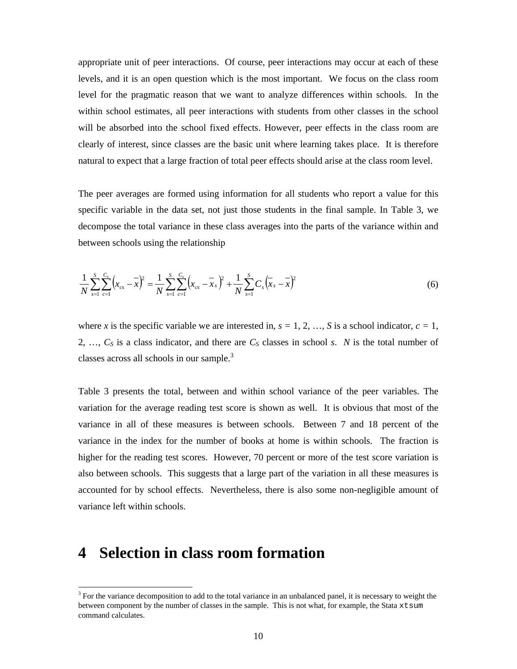appropriate unit of peer interactions. Of course, peer interactions may occur at each of these levels, and it is an open question which is the most important. We focus on the class room level for the pragmatic reason that we want to analyze differences within schools. In the within school estimates, all peer interactions with students from other classes in the school will be absorbed into the school fixed effects. However, peer effects in the class room are clearly of interest, since classes are the basic unit where learning takes place. It is therefore natural to expect that a large fraction of total peer effects should arise at the class room level.

The peer averages are formed using information for all students who report a value for this specific variable in the data set, not just those students in the final sample. In Table 3, we decompose the total variance in these class averages into the parts of the variance within and between schools using the relationship

$$
\frac{1}{N} \sum_{s=1}^{S} \sum_{c=1}^{C_s} \left( x_{cs} - \overline{x} \right)^2 = \frac{1}{N} \sum_{s=1}^{S} \sum_{c=1}^{C_s} \left( x_{cs} - \overline{x}_s \right)^2 + \frac{1}{N} \sum_{s=1}^{S} C_s \left( \overline{x}_s - \overline{x} \right)^2 \tag{6}
$$

where *x* is the specific variable we are interested in,  $s = 1, 2, \ldots, S$  is a school indicator,  $c = 1$ , 2, ...,  $C_S$  is a class indicator, and there are  $C_S$  classes in school *s*. *N* is the total number of classes across all schools in our sample. $3$ 

Table 3 presents the total, between and within school variance of the peer variables. The variation for the average reading test score is shown as well. It is obvious that most of the variance in all of these measures is between schools. Between 7 and 18 percent of the variance in the index for the number of books at home is within schools. The fraction is higher for the reading test scores. However, 70 percent or more of the test score variation is also between schools. This suggests that a large part of the variation in all these measures is accounted for by school effects. Nevertheless, there is also some non-negligible amount of variance left within schools.

## **4 Selection in class room formation**

l

 $3$  For the variance decomposition to add to the total variance in an unbalanced panel, it is necessary to weight the between component by the number of classes in the sample. This is not what, for example, the Stata xtsum command calculates.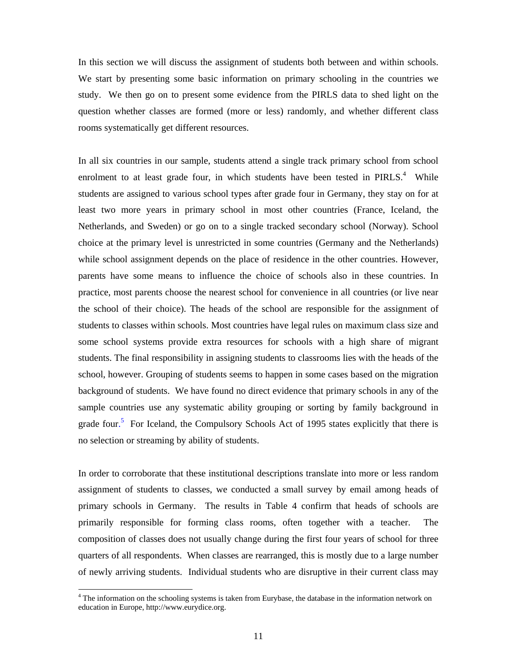In this section we will discuss the assignment of students both between and within schools. We start by presenting some basic information on primary schooling in the countries we study. We then go on to present some evidence from the PIRLS data to shed light on the question whether classes are formed (more or less) randomly, and whether different class rooms systematically get different resources.

In all six countries in our sample, students attend a single track primary school from school enrolment to at least grade four, in which students have been tested in  $PIRLS<sup>4</sup>$ . While students are assigned to various school types after grade four in Germany, they stay on for at least two more years in primary school in most other countries (France, Iceland, the Netherlands, and Sweden) or go on to a single tracked secondary school (Norway). School choice at the primary level is unrestricted in some countries (Germany and the Netherlands) while school assignment depends on the place of residence in the other countries. However, parents have some means to influence the choice of schools also in these countries. In practice, most parents choose the nearest school for convenience in all countries (or live near the school of their choice). The heads of the school are responsible for the assignment of students to classes within schools. Most countries have legal rules on maximum class size and some school systems provide extra resources for schools with a high share of migrant students. The final responsibility in assigning students to classrooms lies with the heads of the school, however. Grouping of students seems to happen in some cases based on the migration background of students. We have found no direct evidence that primary schools in any of the sample countries use any systematic ability grouping or sorting by family background in grade four.<sup>5</sup> For Iceland, the Compulsory Schools Act of 1995 states explicitly that there is no selection or streaming by ability of students.

In order to corroborate that these institutional descriptions translate into more or less random assignment of students to classes, we conducted a small survey by email among heads of primary schools in Germany. The results in Table 4 confirm that heads of schools are primarily responsible for forming class rooms, often together with a teacher. The composition of classes does not usually change during the first four years of school for three quarters of all respondents. When classes are rearranged, this is mostly due to a large number of newly arriving students. Individual students who are disruptive in their current class may

 $\overline{a}$ 

<sup>&</sup>lt;sup>4</sup> The information on the schooling systems is taken from Eurybase, the database in the information network on education in Europe, http://www.eurydice.org.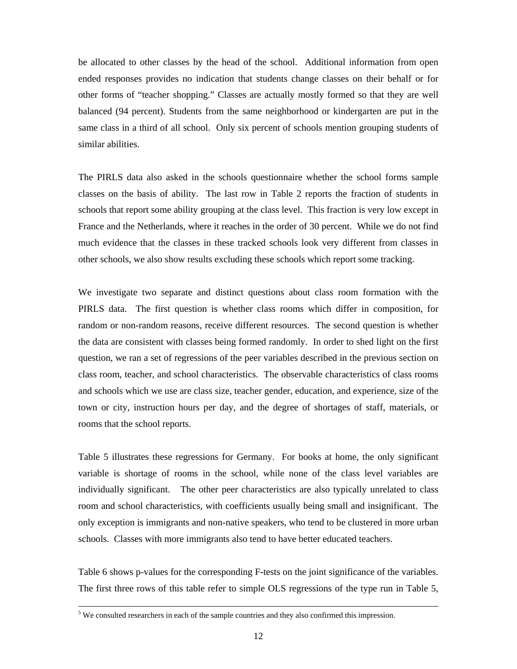be allocated to other classes by the head of the school. Additional information from open ended responses provides no indication that students change classes on their behalf or for other forms of "teacher shopping." Classes are actually mostly formed so that they are well balanced (94 percent). Students from the same neighborhood or kindergarten are put in the same class in a third of all school. Only six percent of schools mention grouping students of similar abilities.

The PIRLS data also asked in the schools questionnaire whether the school forms sample classes on the basis of ability. The last row in Table 2 reports the fraction of students in schools that report some ability grouping at the class level. This fraction is very low except in France and the Netherlands, where it reaches in the order of 30 percent. While we do not find much evidence that the classes in these tracked schools look very different from classes in other schools, we also show results excluding these schools which report some tracking.

We investigate two separate and distinct questions about class room formation with the PIRLS data. The first question is whether class rooms which differ in composition, for random or non-random reasons, receive different resources. The second question is whether the data are consistent with classes being formed randomly. In order to shed light on the first question, we ran a set of regressions of the peer variables described in the previous section on class room, teacher, and school characteristics. The observable characteristics of class rooms and schools which we use are class size, teacher gender, education, and experience, size of the town or city, instruction hours per day, and the degree of shortages of staff, materials, or rooms that the school reports.

Table 5 illustrates these regressions for Germany. For books at home, the only significant variable is shortage of rooms in the school, while none of the class level variables are individually significant. The other peer characteristics are also typically unrelated to class room and school characteristics, with coefficients usually being small and insignificant. The only exception is immigrants and non-native speakers, who tend to be clustered in more urban schools. Classes with more immigrants also tend to have better educated teachers.

Table 6 shows p-values for the corresponding F-tests on the joint significance of the variables. The first three rows of this table refer to simple OLS regressions of the type run in Table 5,

 <sup>5</sup>  $<sup>5</sup>$  We consulted researchers in each of the sample countries and they also confirmed this impression.</sup>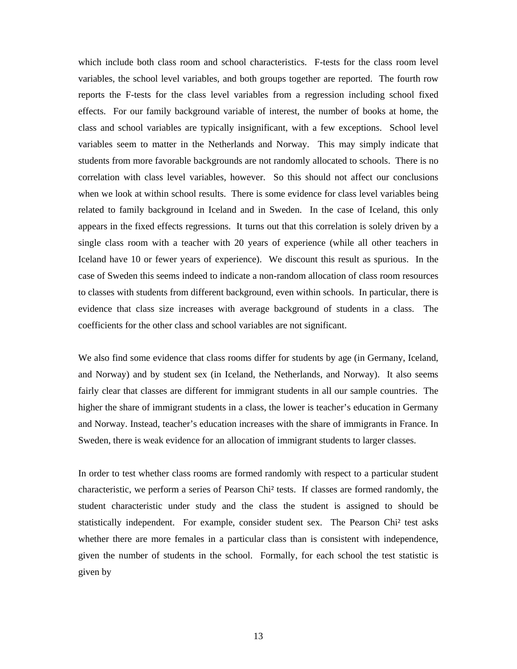which include both class room and school characteristics. F-tests for the class room level variables, the school level variables, and both groups together are reported. The fourth row reports the F-tests for the class level variables from a regression including school fixed effects. For our family background variable of interest, the number of books at home, the class and school variables are typically insignificant, with a few exceptions. School level variables seem to matter in the Netherlands and Norway. This may simply indicate that students from more favorable backgrounds are not randomly allocated to schools. There is no correlation with class level variables, however. So this should not affect our conclusions when we look at within school results. There is some evidence for class level variables being related to family background in Iceland and in Sweden. In the case of Iceland, this only appears in the fixed effects regressions. It turns out that this correlation is solely driven by a single class room with a teacher with 20 years of experience (while all other teachers in Iceland have 10 or fewer years of experience). We discount this result as spurious. In the case of Sweden this seems indeed to indicate a non-random allocation of class room resources to classes with students from different background, even within schools. In particular, there is evidence that class size increases with average background of students in a class. The coefficients for the other class and school variables are not significant.

We also find some evidence that class rooms differ for students by age (in Germany, Iceland, and Norway) and by student sex (in Iceland, the Netherlands, and Norway). It also seems fairly clear that classes are different for immigrant students in all our sample countries. The higher the share of immigrant students in a class, the lower is teacher's education in Germany and Norway. Instead, teacher's education increases with the share of immigrants in France. In Sweden, there is weak evidence for an allocation of immigrant students to larger classes.

In order to test whether class rooms are formed randomly with respect to a particular student characteristic, we perform a series of Pearson Chi² tests. If classes are formed randomly, the student characteristic under study and the class the student is assigned to should be statistically independent. For example, consider student sex. The Pearson Chi² test asks whether there are more females in a particular class than is consistent with independence, given the number of students in the school. Formally, for each school the test statistic is given by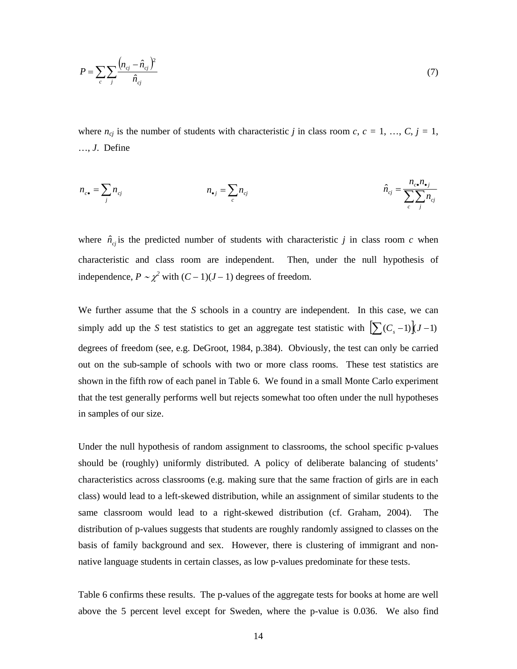$$
P = \sum_{c} \sum_{j} \frac{(n_{cj} - \hat{n}_{cj})^2}{\hat{n}_{cj}}
$$
(7)

where  $n_{cj}$  is the number of students with characteristic *j* in class room *c*,  $c = 1, ..., C, j = 1$ , …, *J*. Define

$$
n_{c\bullet} = \sum_j n_{cj} \qquad \qquad n_{\bullet j} = \sum_c n_{cj} \qquad \qquad \hat{n}_{cj} = \frac{n_{c\bullet} n_{\bullet j}}{\sum_c \sum_j n_{cj}}
$$

where  $\hat{n}_{ci}$  is the predicted number of students with characteristic *j* in class room *c* when characteristic and class room are independent. Then, under the null hypothesis of independence,  $P \sim \chi^2$  with  $(C-1)(J−1)$  degrees of freedom.

We further assume that the *S* schools in a country are independent. In this case, we can simply add up the *S* test statistics to get an aggregate test statistic with  $\left[\sum_{n=1}^{n} (C_n - 1)\right](J - 1)$ degrees of freedom (see, e.g. DeGroot, 1984, p.384). Obviously, the test can only be carried out on the sub-sample of schools with two or more class rooms. These test statistics are shown in the fifth row of each panel in Table 6. We found in a small Monte Carlo experiment that the test generally performs well but rejects somewhat too often under the null hypotheses in samples of our size.

Under the null hypothesis of random assignment to classrooms, the school specific p-values should be (roughly) uniformly distributed. A policy of deliberate balancing of students' characteristics across classrooms (e.g. making sure that the same fraction of girls are in each class) would lead to a left-skewed distribution, while an assignment of similar students to the same classroom would lead to a right-skewed distribution (cf. Graham, 2004). The distribution of p-values suggests that students are roughly randomly assigned to classes on the basis of family background and sex. However, there is clustering of immigrant and nonnative language students in certain classes, as low p-values predominate for these tests.

Table 6 confirms these results. The p-values of the aggregate tests for books at home are well above the 5 percent level except for Sweden, where the p-value is 0.036. We also find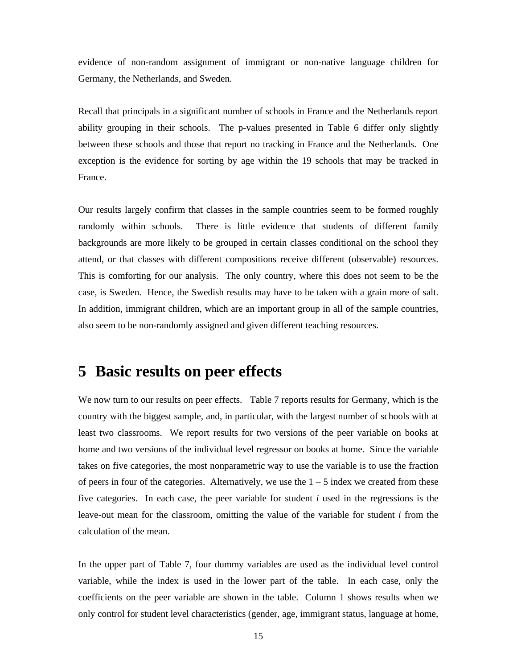evidence of non-random assignment of immigrant or non-native language children for Germany, the Netherlands, and Sweden.

Recall that principals in a significant number of schools in France and the Netherlands report ability grouping in their schools. The p-values presented in Table 6 differ only slightly between these schools and those that report no tracking in France and the Netherlands. One exception is the evidence for sorting by age within the 19 schools that may be tracked in France.

Our results largely confirm that classes in the sample countries seem to be formed roughly randomly within schools. There is little evidence that students of different family backgrounds are more likely to be grouped in certain classes conditional on the school they attend, or that classes with different compositions receive different (observable) resources. This is comforting for our analysis. The only country, where this does not seem to be the case, is Sweden. Hence, the Swedish results may have to be taken with a grain more of salt. In addition, immigrant children, which are an important group in all of the sample countries, also seem to be non-randomly assigned and given different teaching resources.

### **5 Basic results on peer effects**

We now turn to our results on peer effects. Table 7 reports results for Germany, which is the country with the biggest sample, and, in particular, with the largest number of schools with at least two classrooms. We report results for two versions of the peer variable on books at home and two versions of the individual level regressor on books at home. Since the variable takes on five categories, the most nonparametric way to use the variable is to use the fraction of peers in four of the categories. Alternatively, we use the  $1 - 5$  index we created from these five categories. In each case, the peer variable for student *i* used in the regressions is the leave-out mean for the classroom, omitting the value of the variable for student *i* from the calculation of the mean.

In the upper part of Table 7, four dummy variables are used as the individual level control variable, while the index is used in the lower part of the table. In each case, only the coefficients on the peer variable are shown in the table. Column 1 shows results when we only control for student level characteristics (gender, age, immigrant status, language at home,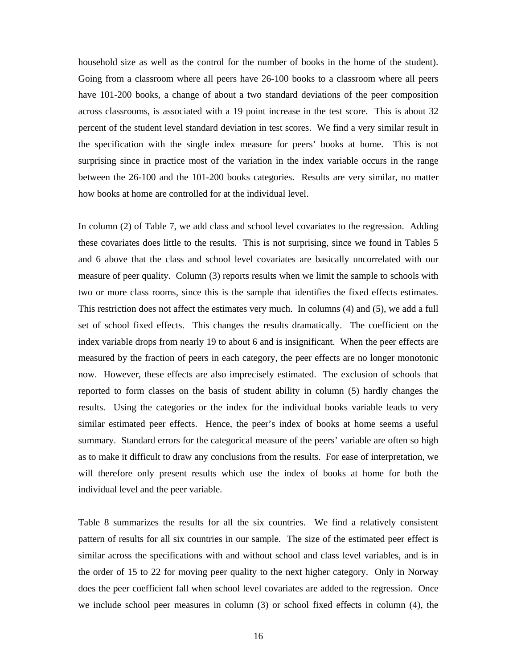household size as well as the control for the number of books in the home of the student). Going from a classroom where all peers have 26-100 books to a classroom where all peers have 101-200 books, a change of about a two standard deviations of the peer composition across classrooms, is associated with a 19 point increase in the test score. This is about 32 percent of the student level standard deviation in test scores. We find a very similar result in the specification with the single index measure for peers' books at home. This is not surprising since in practice most of the variation in the index variable occurs in the range between the 26-100 and the 101-200 books categories. Results are very similar, no matter how books at home are controlled for at the individual level.

In column (2) of Table 7, we add class and school level covariates to the regression. Adding these covariates does little to the results. This is not surprising, since we found in Tables 5 and 6 above that the class and school level covariates are basically uncorrelated with our measure of peer quality. Column (3) reports results when we limit the sample to schools with two or more class rooms, since this is the sample that identifies the fixed effects estimates. This restriction does not affect the estimates very much. In columns (4) and (5), we add a full set of school fixed effects. This changes the results dramatically. The coefficient on the index variable drops from nearly 19 to about 6 and is insignificant. When the peer effects are measured by the fraction of peers in each category, the peer effects are no longer monotonic now. However, these effects are also imprecisely estimated. The exclusion of schools that reported to form classes on the basis of student ability in column (5) hardly changes the results. Using the categories or the index for the individual books variable leads to very similar estimated peer effects. Hence, the peer's index of books at home seems a useful summary. Standard errors for the categorical measure of the peers' variable are often so high as to make it difficult to draw any conclusions from the results. For ease of interpretation, we will therefore only present results which use the index of books at home for both the individual level and the peer variable.

Table 8 summarizes the results for all the six countries. We find a relatively consistent pattern of results for all six countries in our sample. The size of the estimated peer effect is similar across the specifications with and without school and class level variables, and is in the order of 15 to 22 for moving peer quality to the next higher category. Only in Norway does the peer coefficient fall when school level covariates are added to the regression. Once we include school peer measures in column (3) or school fixed effects in column (4), the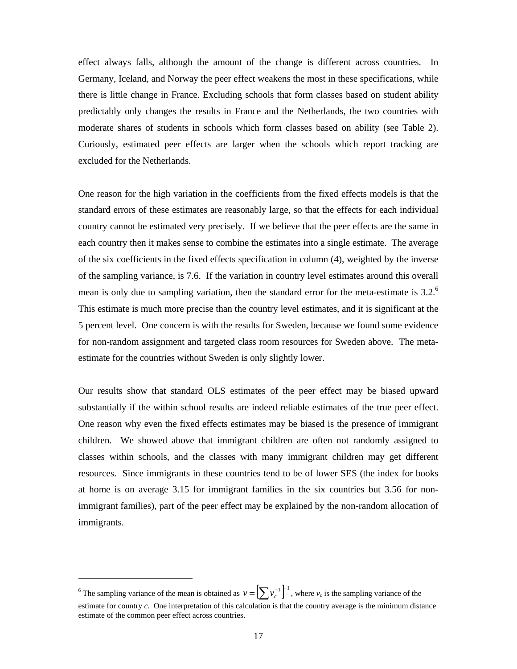effect always falls, although the amount of the change is different across countries. In Germany, Iceland, and Norway the peer effect weakens the most in these specifications, while there is little change in France. Excluding schools that form classes based on student ability predictably only changes the results in France and the Netherlands, the two countries with moderate shares of students in schools which form classes based on ability (see Table 2). Curiously, estimated peer effects are larger when the schools which report tracking are excluded for the Netherlands.

One reason for the high variation in the coefficients from the fixed effects models is that the standard errors of these estimates are reasonably large, so that the effects for each individual country cannot be estimated very precisely. If we believe that the peer effects are the same in each country then it makes sense to combine the estimates into a single estimate. The average of the six coefficients in the fixed effects specification in column (4), weighted by the inverse of the sampling variance, is 7.6. If the variation in country level estimates around this overall mean is only due to sampling variation, then the standard error for the meta-estimate is  $3.2<sup>6</sup>$ This estimate is much more precise than the country level estimates, and it is significant at the 5 percent level. One concern is with the results for Sweden, because we found some evidence for non-random assignment and targeted class room resources for Sweden above. The metaestimate for the countries without Sweden is only slightly lower.

Our results show that standard OLS estimates of the peer effect may be biased upward substantially if the within school results are indeed reliable estimates of the true peer effect. One reason why even the fixed effects estimates may be biased is the presence of immigrant children. We showed above that immigrant children are often not randomly assigned to classes within schools, and the classes with many immigrant children may get different resources. Since immigrants in these countries tend to be of lower SES (the index for books at home is on average 3.15 for immigrant families in the six countries but 3.56 for nonimmigrant families), part of the peer effect may be explained by the non-random allocation of immigrants.

<sup>&</sup>lt;sup>6</sup> The sampling variance of the mean is obtained as  $v = \left[\sum v_c^{-1}\right]^2$ , where  $v_c$  is the sampling variance of the estimate for country *c*. One interpretation of this calculation is that the country average is the minimum distance estimate of the common peer effect across countries.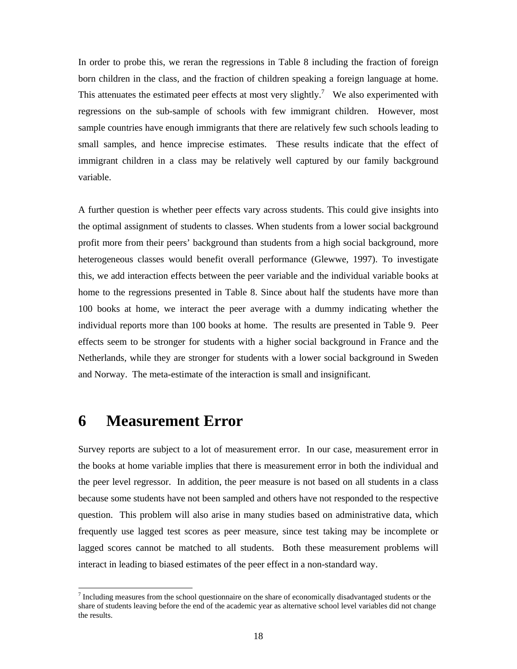In order to probe this, we reran the regressions in Table 8 including the fraction of foreign born children in the class, and the fraction of children speaking a foreign language at home. This attenuates the estimated peer effects at most very slightly.<sup>7</sup> We also experimented with regressions on the sub-sample of schools with few immigrant children. However, most sample countries have enough immigrants that there are relatively few such schools leading to small samples, and hence imprecise estimates. These results indicate that the effect of immigrant children in a class may be relatively well captured by our family background variable.

A further question is whether peer effects vary across students. This could give insights into the optimal assignment of students to classes. When students from a lower social background profit more from their peers' background than students from a high social background, more heterogeneous classes would benefit overall performance (Glewwe, 1997). To investigate this, we add interaction effects between the peer variable and the individual variable books at home to the regressions presented in Table 8. Since about half the students have more than 100 books at home, we interact the peer average with a dummy indicating whether the individual reports more than 100 books at home. The results are presented in Table 9. Peer effects seem to be stronger for students with a higher social background in France and the Netherlands, while they are stronger for students with a lower social background in Sweden and Norway. The meta-estimate of the interaction is small and insignificant.

### **6 Measurement Error**

Survey reports are subject to a lot of measurement error. In our case, measurement error in the books at home variable implies that there is measurement error in both the individual and the peer level regressor. In addition, the peer measure is not based on all students in a class because some students have not been sampled and others have not responded to the respective question. This problem will also arise in many studies based on administrative data, which frequently use lagged test scores as peer measure, since test taking may be incomplete or lagged scores cannot be matched to all students. Both these measurement problems will interact in leading to biased estimates of the peer effect in a non-standard way.

 $<sup>7</sup>$  Including measures from the school questionnaire on the share of economically disadvantaged students or the</sup> share of students leaving before the end of the academic year as alternative school level variables did not change the results.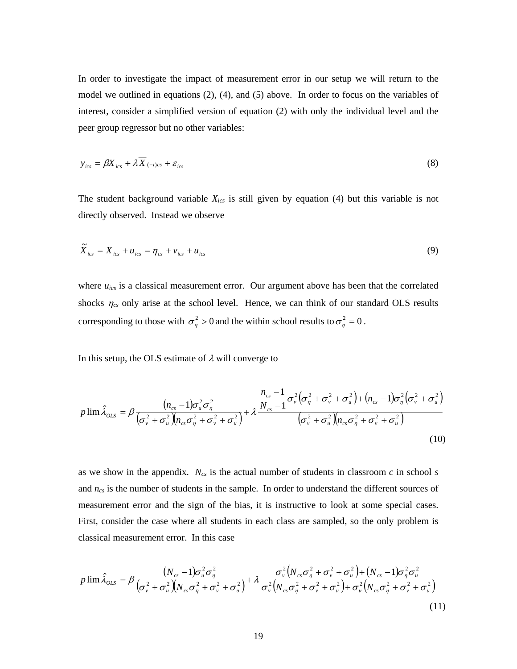In order to investigate the impact of measurement error in our setup we will return to the model we outlined in equations (2), (4), and (5) above. In order to focus on the variables of interest, consider a simplified version of equation (2) with only the individual level and the peer group regressor but no other variables:

$$
y_{ics} = \beta X_{ics} + \lambda \overline{X}_{(-i)cs} + \varepsilon_{ics}
$$
\n(8)

The student background variable *Xics* is still given by equation (4) but this variable is not directly observed. Instead we observe

$$
\widetilde{X}_{ics} = X_{ics} + u_{ics} = \eta_{cs} + v_{ics} + u_{ics}
$$
\n
$$
(9)
$$

where  $u_{ics}$  is a classical measurement error. Our argument above has been that the correlated shocks  $\eta_{cs}$  only arise at the school level. Hence, we can think of our standard OLS results corresponding to those with  $\sigma_{\eta}^2 > 0$  and the within school results to  $\sigma_{\eta}^2 = 0$ .

In this setup, the OLS estimate of  $\lambda$  will converge to

$$
p\lim \hat{\lambda}_{OLS} = \beta \frac{(n_{cs} - 1)\sigma_u^2 \sigma_\eta^2}{(\sigma_v^2 + \sigma_u^2)(n_{cs}\sigma_\eta^2 + \sigma_v^2 + \sigma_u^2)} + \lambda \frac{\frac{n_{cs} - 1}{N_{cs} - 1}\sigma_v^2(\sigma_\eta^2 + \sigma_v^2 + \sigma_u^2) + (n_{cs} - 1)\sigma_\eta^2(\sigma_v^2 + \sigma_u^2)}{(\sigma_v^2 + \sigma_u^2)(n_{cs}\sigma_\eta^2 + \sigma_v^2 + \sigma_u^2)}
$$
(10)

as we show in the appendix.  $N_{cs}$  is the actual number of students in classroom  $c$  in school  $s$ and  $n_{cs}$  is the number of students in the sample. In order to understand the different sources of measurement error and the sign of the bias, it is instructive to look at some special cases. First, consider the case where all students in each class are sampled, so the only problem is classical measurement error. In this case

$$
p\lim \hat{\lambda}_{OLS} = \beta \frac{(N_{cs} - 1)\sigma_u^2 \sigma_\eta^2}{(\sigma_v^2 + \sigma_u^2)(N_{cs}\sigma_\eta^2 + \sigma_v^2 + \sigma_u^2)} + \lambda \frac{\sigma_v^2 (N_{cs}\sigma_\eta^2 + \sigma_v^2 + \sigma_u^2) + (N_{cs} - 1)\sigma_\eta^2 \sigma_u^2}{\sigma_v^2 (N_{cs}\sigma_\eta^2 + \sigma_v^2 + \sigma_u^2) + \sigma_u^2 (N_{cs}\sigma_\eta^2 + \sigma_v^2 + \sigma_u^2)}
$$
(11)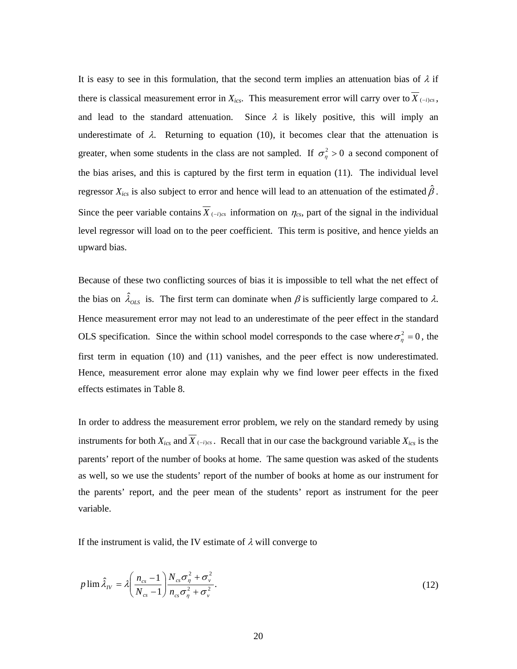It is easy to see in this formulation, that the second term implies an attenuation bias of  $\lambda$  if there is classical measurement error in  $X_{ics}$ . This measurement error will carry over to  $\overline{X}_{(-i)cs}$ , and lead to the standard attenuation. Since  $\lambda$  is likely positive, this will imply an underestimate of  $\lambda$ . Returning to equation (10), it becomes clear that the attenuation is greater, when some students in the class are not sampled. If  $\sigma_n^2 > 0$  a second component of the bias arises, and this is captured by the first term in equation (11). The individual level regressor  $X_{ics}$  is also subject to error and hence will lead to an attenuation of the estimated  $\hat{\beta}$ . Since the peer variable contains  $\overline{X}_{(-i)cs}$  information on  $\eta_{cs}$ , part of the signal in the individual level regressor will load on to the peer coefficient. This term is positive, and hence yields an upward bias.

Because of these two conflicting sources of bias it is impossible to tell what the net effect of the bias on  $\hat{\lambda}_{OLS}$  is. The first term can dominate when  $\beta$  is sufficiently large compared to  $\lambda$ . Hence measurement error may not lead to an underestimate of the peer effect in the standard OLS specification. Since the within school model corresponds to the case where  $\sigma_{\eta}^2 = 0$ , the first term in equation (10) and (11) vanishes, and the peer effect is now underestimated. Hence, measurement error alone may explain why we find lower peer effects in the fixed effects estimates in Table 8.

In order to address the measurement error problem, we rely on the standard remedy by using instruments for both  $X_{ics}$  and  $\overline{X}_{(-i)cs}$ . Recall that in our case the background variable  $X_{ics}$  is the parents' report of the number of books at home. The same question was asked of the students as well, so we use the students' report of the number of books at home as our instrument for the parents' report, and the peer mean of the students' report as instrument for the peer variable.

If the instrument is valid, the IV estimate of  $\lambda$  will converge to

$$
p\lim \hat{\lambda}_N = \lambda \left(\frac{n_{cs} - 1}{N_{cs} - 1}\right) \frac{N_{cs} \sigma_\eta^2 + \sigma_v^2}{n_{cs} \sigma_\eta^2 + \sigma_v^2}.
$$
\n(12)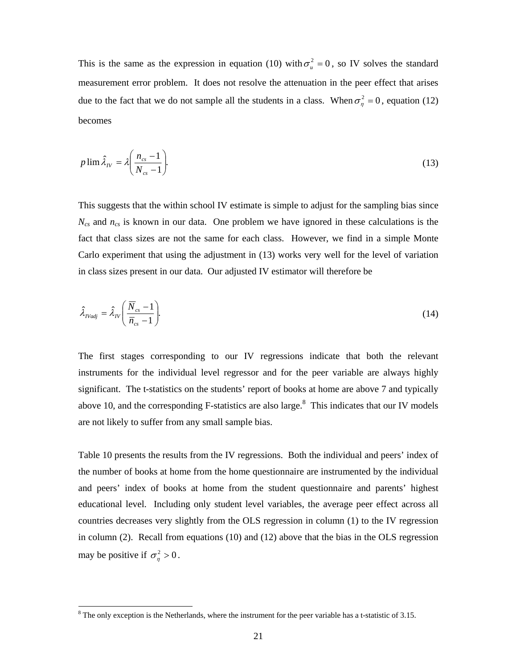This is the same as the expression in equation (10) with  $\sigma_u^2 = 0$ , so IV solves the standard measurement error problem. It does not resolve the attenuation in the peer effect that arises due to the fact that we do not sample all the students in a class. When  $\sigma_n^2 = 0$ , equation (12) becomes

$$
p \lim \hat{\lambda}_N = \lambda \left( \frac{n_{cs} - 1}{N_{cs} - 1} \right). \tag{13}
$$

This suggests that the within school IV estimate is simple to adjust for the sampling bias since *Ncs* and *ncs* is known in our data. One problem we have ignored in these calculations is the fact that class sizes are not the same for each class. However, we find in a simple Monte Carlo experiment that using the adjustment in (13) works very well for the level of variation in class sizes present in our data. Our adjusted IV estimator will therefore be

$$
\hat{\lambda}_{Nadj} = \hat{\lambda}_N \left( \frac{\overline{N}_{cs} - 1}{\overline{n}_{cs} - 1} \right).
$$
\n(14)

The first stages corresponding to our IV regressions indicate that both the relevant instruments for the individual level regressor and for the peer variable are always highly significant. The t-statistics on the students' report of books at home are above 7 and typically above 10, and the corresponding F-statistics are also large. $8$  This indicates that our IV models are not likely to suffer from any small sample bias.

Table 10 presents the results from the IV regressions. Both the individual and peers' index of the number of books at home from the home questionnaire are instrumented by the individual and peers' index of books at home from the student questionnaire and parents' highest educational level. Including only student level variables, the average peer effect across all countries decreases very slightly from the OLS regression in column (1) to the IV regression in column (2). Recall from equations (10) and (12) above that the bias in the OLS regression may be positive if  $\sigma_n^2 > 0$ .

l

 $8$  The only exception is the Netherlands, where the instrument for the peer variable has a t-statistic of 3.15.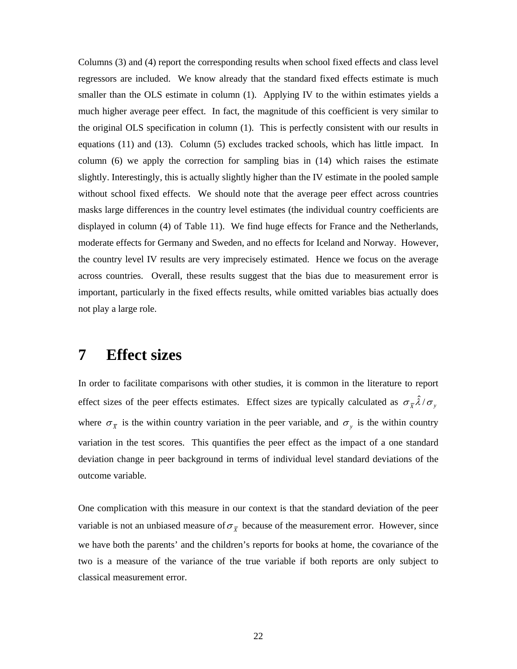Columns (3) and (4) report the corresponding results when school fixed effects and class level regressors are included. We know already that the standard fixed effects estimate is much smaller than the OLS estimate in column (1). Applying IV to the within estimates yields a much higher average peer effect. In fact, the magnitude of this coefficient is very similar to the original OLS specification in column (1). This is perfectly consistent with our results in equations (11) and (13). Column (5) excludes tracked schools, which has little impact. In column (6) we apply the correction for sampling bias in (14) which raises the estimate slightly. Interestingly, this is actually slightly higher than the IV estimate in the pooled sample without school fixed effects. We should note that the average peer effect across countries masks large differences in the country level estimates (the individual country coefficients are displayed in column (4) of Table 11). We find huge effects for France and the Netherlands, moderate effects for Germany and Sweden, and no effects for Iceland and Norway. However, the country level IV results are very imprecisely estimated. Hence we focus on the average across countries. Overall, these results suggest that the bias due to measurement error is important, particularly in the fixed effects results, while omitted variables bias actually does not play a large role.

### **7 Effect sizes**

In order to facilitate comparisons with other studies, it is common in the literature to report effect sizes of the peer effects estimates. Effect sizes are typically calculated as  $\sigma_{\bar{x}}\hat{\lambda}/\sigma_{y}$ where  $\sigma_{\overline{x}}$  is the within country variation in the peer variable, and  $\sigma_y$  is the within country variation in the test scores. This quantifies the peer effect as the impact of a one standard deviation change in peer background in terms of individual level standard deviations of the outcome variable.

One complication with this measure in our context is that the standard deviation of the peer variable is not an unbiased measure of  $\sigma_{\overline{x}}$  because of the measurement error. However, since we have both the parents' and the children's reports for books at home, the covariance of the two is a measure of the variance of the true variable if both reports are only subject to classical measurement error.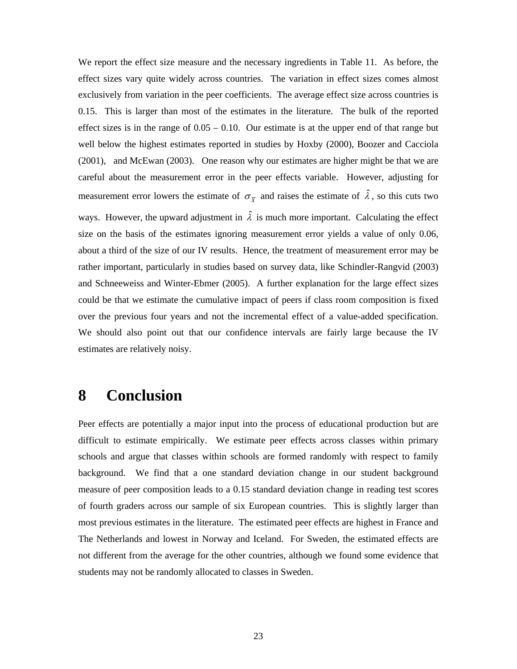We report the effect size measure and the necessary ingredients in Table 11. As before, the effect sizes vary quite widely across countries. The variation in effect sizes comes almost exclusively from variation in the peer coefficients. The average effect size across countries is 0.15. This is larger than most of the estimates in the literature. The bulk of the reported effect sizes is in the range of  $0.05 - 0.10$ . Our estimate is at the upper end of that range but well below the highest estimates reported in studies by Hoxby (2000), Boozer and Cacciola (2001), and McEwan (2003). One reason why our estimates are higher might be that we are careful about the measurement error in the peer effects variable. However, adjusting for measurement error lowers the estimate of  $\sigma_{\bar{x}}$  and raises the estimate of  $\hat{\lambda}$ , so this cuts two ways. However, the upward adjustment in  $\hat{\lambda}$  is much more important. Calculating the effect size on the basis of the estimates ignoring measurement error yields a value of only 0.06, about a third of the size of our IV results. Hence, the treatment of measurement error may be rather important, particularly in studies based on survey data, like Schindler-Rangvid (2003) and Schneeweiss and Winter-Ebmer (2005). A further explanation for the large effect sizes could be that we estimate the cumulative impact of peers if class room composition is fixed over the previous four years and not the incremental effect of a value-added specification. We should also point out that our confidence intervals are fairly large because the IV estimates are relatively noisy.

## **8 Conclusion**

Peer effects are potentially a major input into the process of educational production but are difficult to estimate empirically. We estimate peer effects across classes within primary schools and argue that classes within schools are formed randomly with respect to family background. We find that a one standard deviation change in our student background measure of peer composition leads to a 0.15 standard deviation change in reading test scores of fourth graders across our sample of six European countries. This is slightly larger than most previous estimates in the literature. The estimated peer effects are highest in France and The Netherlands and lowest in Norway and Iceland. For Sweden, the estimated effects are not different from the average for the other countries, although we found some evidence that students may not be randomly allocated to classes in Sweden.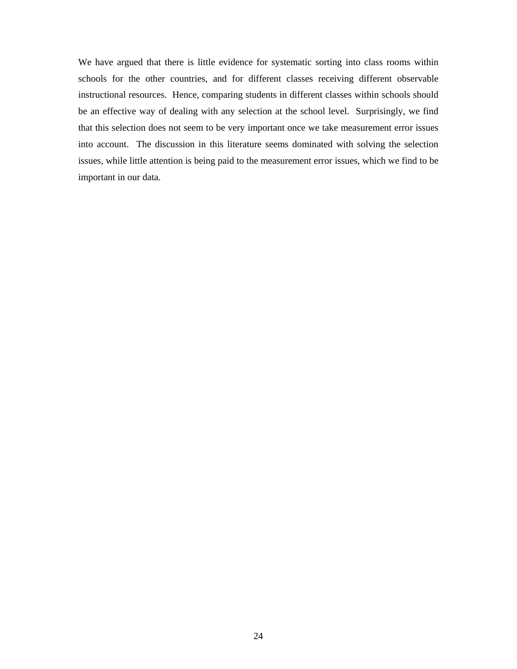We have argued that there is little evidence for systematic sorting into class rooms within schools for the other countries, and for different classes receiving different observable instructional resources. Hence, comparing students in different classes within schools should be an effective way of dealing with any selection at the school level. Surprisingly, we find that this selection does not seem to be very important once we take measurement error issues into account. The discussion in this literature seems dominated with solving the selection issues, while little attention is being paid to the measurement error issues, which we find to be important in our data.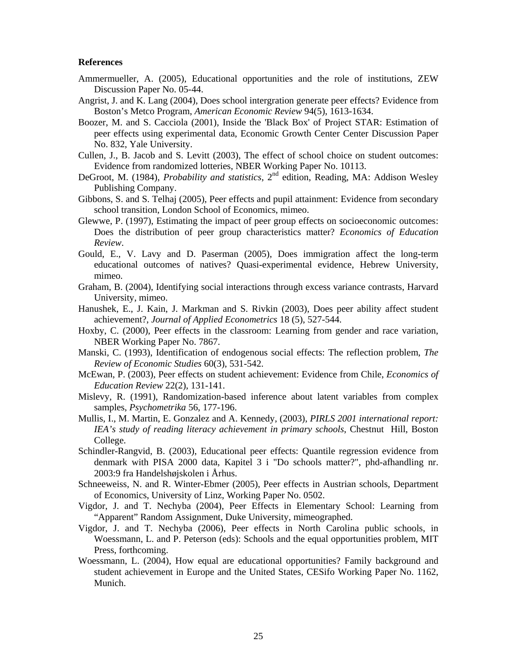#### **References**

- Ammermueller, A. (2005), Educational opportunities and the role of institutions, ZEW Discussion Paper No. 05-44.
- Angrist, J. and K. Lang (2004), Does school intergration generate peer effects? Evidence from Boston's Metco Program, *American Economic Review* 94(5), 1613-1634.
- Boozer, M. and S. Cacciola (2001), Inside the 'Black Box' of Project STAR: Estimation of peer effects using experimental data, Economic Growth Center Center Discussion Paper No. 832, Yale University.
- Cullen, J., B. Jacob and S. Levitt (2003), The effect of school choice on student outcomes: Evidence from randomized lotteries, NBER Working Paper No. 10113.
- DeGroot, M. (1984), *Probability and statistics*, 2<sup>nd</sup> edition, Reading, MA: Addison Wesley Publishing Company.
- Gibbons, S. and S. Telhaj (2005), Peer effects and pupil attainment: Evidence from secondary school transition, London School of Economics, mimeo.
- Glewwe, P. (1997), Estimating the impact of peer group effects on socioeconomic outcomes: Does the distribution of peer group characteristics matter? *Economics of Education Review*.
- Gould, E., V. Lavy and D. Paserman (2005), Does immigration affect the long-term educational outcomes of natives? Quasi-experimental evidence, Hebrew University, mimeo.
- Graham, B. (2004), Identifying social interactions through excess variance contrasts, Harvard University, mimeo.
- Hanushek, E., J. Kain, J. Markman and S. Rivkin (2003), Does peer ability affect student achievement?, *Journal of Applied Econometrics* 18 (5), 527-544.
- Hoxby, C. (2000), Peer effects in the classroom: Learning from gender and race variation, NBER Working Paper No. 7867.
- Manski, C. (1993), Identification of endogenous social effects: The reflection problem, *The Review of Economic Studies* 60(3), 531-542.
- McEwan, P. (2003), Peer effects on student achievement: Evidence from Chile, *Economics of Education Review* 22(2), 131-141.
- Mislevy, R. (1991), Randomization-based inference about latent variables from complex samples, *Psychometrika* 56, 177-196.
- Mullis, I., M. Martin, E. Gonzalez and A. Kennedy, (2003), *PIRLS 2001 international report: IEA's study of reading literacy achievement in primary schools*, Chestnut Hill, Boston College.
- Schindler-Rangvid, B. (2003), Educational peer effects: Quantile regression evidence from denmark with PISA 2000 data, Kapitel 3 i "Do schools matter?", phd-afhandling nr. 2003:9 fra Handelshøjskolen i Århus.
- Schneeweiss, N. and R. Winter-Ebmer (2005), Peer effects in Austrian schools, Department of Economics, University of Linz, Working Paper No. 0502.
- Vigdor, J. and T. Nechyba (2004), Peer Effects in Elementary School: Learning from "Apparent" Random Assignment, Duke University, mimeographed.
- Vigdor, J. and T. Nechyba (2006), Peer effects in North Carolina public schools, in Woessmann, L. and P. Peterson (eds): Schools and the equal opportunities problem, MIT Press, forthcoming.
- Woessmann, L. (2004), How equal are educational opportunities? Family background and student achievement in Europe and the United States, CESifo Working Paper No. 1162, Munich.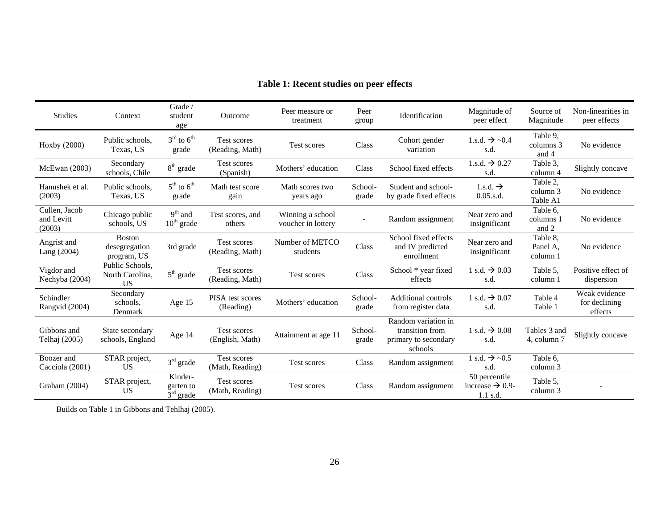| <b>Studies</b>                        | Context                                         | Grade /<br>student<br>age                           | <b>Outcome</b>                        | Peer measure or<br>treatment           | Peer<br>group     | Identification                                                            | Magnitude of<br>peer effect                                | Source of<br>Magnitude           | Non-linearities in<br>peer effects        |
|---------------------------------------|-------------------------------------------------|-----------------------------------------------------|---------------------------------------|----------------------------------------|-------------------|---------------------------------------------------------------------------|------------------------------------------------------------|----------------------------------|-------------------------------------------|
| Hoxby (2000)                          | Public schools,<br>Texas, US                    | $3^{\text{rd}}$ to $6^{\text{th}}$<br>grade         | Test scores<br>(Reading, Math)        | Test scores                            | Class             | Cohort gender<br>variation                                                | 1.s.d. $\rightarrow$ ~0.4<br>s.d.                          | Table 9.<br>columns 3<br>and 4   | No evidence                               |
| McEwan (2003)                         | Secondary<br>schools, Chile                     | $8th$ grade                                         | Test scores<br>(Spanish)              | Mothers' education                     | Class             | School fixed effects                                                      | 1.s.d. $\rightarrow 0.27$<br>s.d.                          | Table 3,<br>column 4             | Slightly concave                          |
| Hanushek et al.<br>(2003)             | Public schools,<br>Texas, US                    | $5th$ to $6th$<br>grade                             | Math test score<br>gain               | Math scores two<br>years ago           | School-<br>grade  | Student and school-<br>by grade fixed effects                             | 1.s.d. $\rightarrow$<br>$0.05$ .s.d.                       | Table 2.<br>column 3<br>Table A1 | No evidence                               |
| Cullen, Jacob<br>and Levitt<br>(2003) | Chicago public<br>schools, US                   | $9th$ and<br>$10th$ grade                           | Test scores, and<br>others            | Winning a school<br>voucher in lottery | Random assignment |                                                                           | Near zero and<br>insignificant                             | Table 6,<br>columns 1<br>and 2   | No evidence                               |
| Angrist and<br>Lang (2004)            | <b>Boston</b><br>desegregation<br>program, US   | 3rd grade                                           | Test scores<br>(Reading, Math)        | Number of METCO<br>students            | Class             | School fixed effects<br>and IV predicted<br>enrollment                    | Near zero and<br>insignificant                             | Table 8.<br>Panel A.<br>column 1 | No evidence                               |
| Vigdor and<br>Nechyba (2004)          | Public Schools.<br>North Carolina.<br><b>US</b> | $5th$ grade                                         | <b>Test scores</b><br>(Reading, Math) | Test scores                            | Class             | School * year fixed<br>effects                                            | 1 s.d. $\rightarrow$ 0.03<br>s.d.                          | Table 5.<br>column 1             | Positive effect of<br>dispersion          |
| Schindler<br>Rangvid (2004)           | Secondary<br>schools.<br>Denmark                | Age 15                                              | PISA test scores<br>(Reading)         | Mothers' education                     | School-<br>grade  | <b>Additional controls</b><br>from register data                          | 1 s.d. $\rightarrow$ 0.07<br>s.d.                          | Table 4<br>Table 1               | Weak evidence<br>for declining<br>effects |
| Gibbons and<br>Telhaj (2005)          | State secondary<br>schools, England             | Age 14                                              | <b>Test scores</b><br>(English, Math) | Attainment at age 11                   | School-<br>grade  | Random variation in<br>transition from<br>primary to secondary<br>schools | 1 s.d. $\rightarrow$ 0.08<br>s.d.                          | Tables 3 and<br>4, column 7      | Slightly concave                          |
| Boozer and<br>Cacciola (2001)         | STAR project,<br>US                             | $3rd$ grade                                         | Test scores<br>(Math, Reading)        | Test scores                            | Class             | Random assignment                                                         | 1 s.d. $\rightarrow$ ~0.5<br>s.d.                          | Table 6.<br>column 3             |                                           |
| Graham (2004)                         | STAR project,<br><b>US</b>                      | Kinder-<br>garten to<br>$\bar{3}^{\text{rd}}$ grade | Test scores<br>(Math, Reading)        | <b>Test scores</b>                     | Class             | Random assignment                                                         | 50 percentile<br>increase $\rightarrow$ 0.9-<br>$1.1$ s.d. | Table 5.<br>column 3             |                                           |

### **Table 1: Recent studies on peer effects**

Builds on Table 1 in Gibbons and Tehlhaj (2005).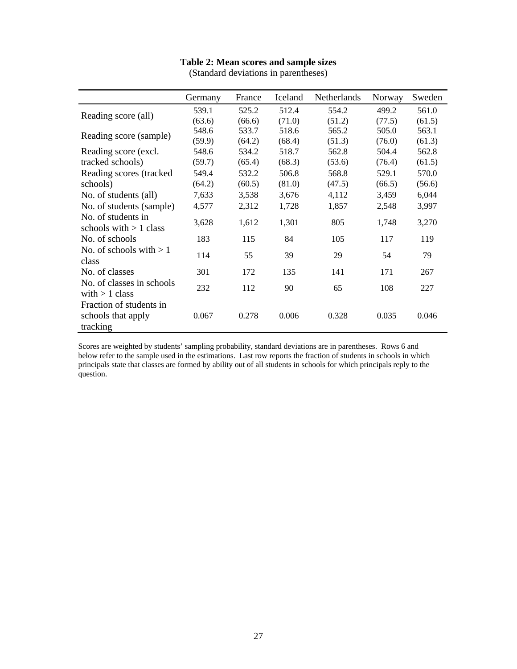#### **Table 2: Mean scores and sample sizes**

|                                               | Germany | France | Iceland | Netherlands | Norway | Sweden |
|-----------------------------------------------|---------|--------|---------|-------------|--------|--------|
|                                               | 539.1   | 525.2  | 512.4   | 554.2       | 499.2  | 561.0  |
| Reading score (all)                           | (63.6)  | (66.6) | (71.0)  | (51.2)      | (77.5) | (61.5) |
| Reading score (sample)                        | 548.6   | 533.7  | 518.6   | 565.2       | 505.0  | 563.1  |
|                                               | (59.9)  | (64.2) | (68.4)  | (51.3)      | (76.0) | (61.3) |
| Reading score (excl.                          | 548.6   | 534.2  | 518.7   | 562.8       | 504.4  | 562.8  |
| tracked schools)                              | (59.7)  | (65.4) | (68.3)  | (53.6)      | (76.4) | (61.5) |
| Reading scores (tracked)                      | 549.4   | 532.2  | 506.8   | 568.8       | 529.1  | 570.0  |
| schools)                                      | (64.2)  | (60.5) | (81.0)  | (47.5)      | (66.5) | (56.6) |
| No. of students (all)                         | 7,633   | 3,538  | 3,676   | 4,112       | 3,459  | 6,044  |
| No. of students (sample)                      | 4,577   | 2,312  | 1,728   | 1,857       | 2,548  | 3,997  |
| No. of students in                            | 3,628   | 1,612  | 1,301   | 805         | 1,748  | 3,270  |
| schools with $> 1$ class                      |         |        |         |             |        |        |
| No. of schools                                | 183     | 115    | 84      | 105         | 117    | 119    |
| No. of schools with $>1$<br>class             | 114     | 55     | 39      | 29          | 54     | 79     |
| No. of classes                                | 301     | 172    | 135     | 141         | 171    | 267    |
| No. of classes in schools<br>with $> 1$ class | 232     | 112    | 90      | 65          | 108    | 227    |
| Fraction of students in                       |         |        |         |             |        |        |
| schools that apply                            | 0.067   | 0.278  | 0.006   | 0.328       | 0.035  | 0.046  |
| tracking                                      |         |        |         |             |        |        |

(Standard deviations in parentheses)

Scores are weighted by students' sampling probability, standard deviations are in parentheses. Rows 6 and below refer to the sample used in the estimations. Last row reports the fraction of students in schools in which principals state that classes are formed by ability out of all students in schools for which principals reply to the question.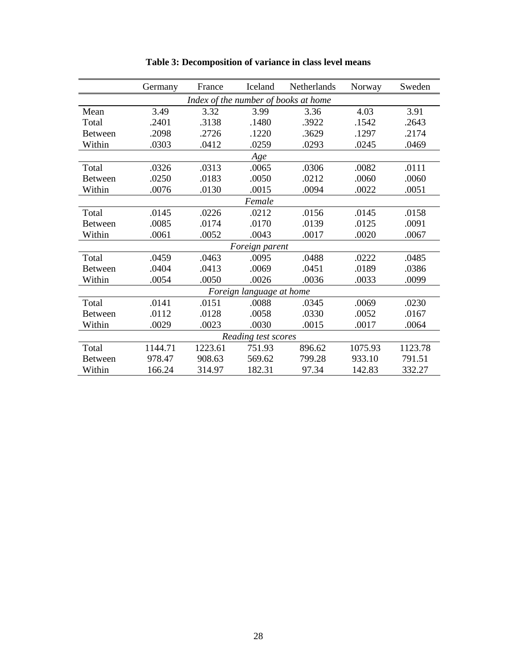|                | Germany | France  | Iceland                  | Netherlands                          | Norway  | Sweden  |
|----------------|---------|---------|--------------------------|--------------------------------------|---------|---------|
|                |         |         |                          | Index of the number of books at home |         |         |
| Mean           | 3.49    | 3.32    | 3.99                     | 3.36                                 | 4.03    | 3.91    |
| Total          | .2401   | .3138   | .1480                    | .3922                                | .1542   | .2643   |
| <b>Between</b> | .2098   | .2726   | .1220                    | .3629                                | .1297   | .2174   |
| Within         | .0303   | .0412   | .0259                    | .0293                                | .0245   | .0469   |
|                |         |         | Age                      |                                      |         |         |
| Total          | .0326   | .0313   | .0065                    | .0306                                | .0082   | .0111   |
| <b>Between</b> | .0250   | .0183   | .0050                    | .0212                                | .0060   | .0060   |
| Within         | .0076   | .0130   | .0015                    | .0094                                | .0022   | .0051   |
|                |         |         | Female                   |                                      |         |         |
| Total          | .0145   | .0226   | .0212                    | .0156                                | .0145   | .0158   |
| <b>Between</b> | .0085   | .0174   | .0170                    | .0139                                | .0125   | .0091   |
| Within         | .0061   | .0052   | .0043                    | .0017                                | .0020   | .0067   |
|                |         |         | Foreign parent           |                                      |         |         |
| Total          | .0459   | .0463   | .0095                    | .0488                                | .0222   | .0485   |
| <b>Between</b> | .0404   | .0413   | .0069                    | .0451                                | .0189   | .0386   |
| Within         | .0054   | .0050   | .0026                    | .0036                                | .0033   | .0099   |
|                |         |         | Foreign language at home |                                      |         |         |
| Total          | .0141   | .0151   | .0088                    | .0345                                | .0069   | .0230   |
| <b>Between</b> | .0112   | .0128   | .0058                    | .0330                                | .0052   | .0167   |
| Within         | .0029   | .0023   | .0030                    | .0015                                | .0017   | .0064   |
|                |         |         | Reading test scores      |                                      |         |         |
| Total          | 1144.71 | 1223.61 | 751.93                   | 896.62                               | 1075.93 | 1123.78 |
| <b>Between</b> | 978.47  | 908.63  | 569.62                   | 799.28                               | 933.10  | 791.51  |
| Within         | 166.24  | 314.97  | 182.31                   | 97.34                                | 142.83  | 332.27  |

**Table 3: Decomposition of variance in class level means**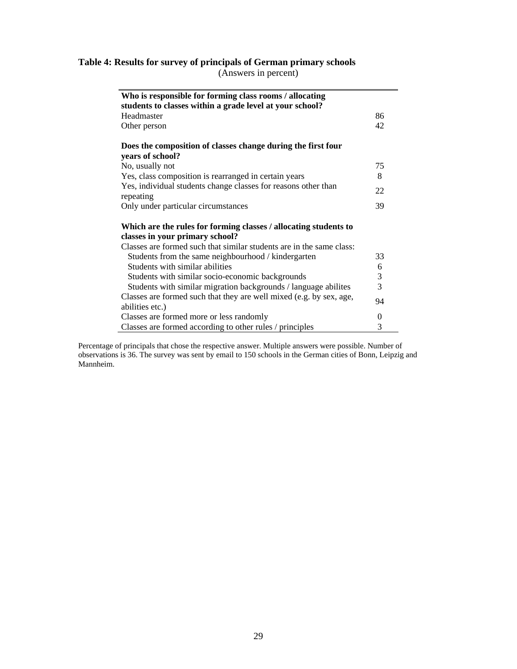### **Table 4: Results for survey of principals of German primary schools**

(Answers in percent)

| Who is responsible for forming class rooms / allocating                     |                |
|-----------------------------------------------------------------------------|----------------|
| students to classes within a grade level at your school?                    |                |
| Headmaster                                                                  | 86             |
| Other person                                                                | 42             |
| Does the composition of classes change during the first four                |                |
| years of school?                                                            |                |
| No, usually not                                                             | 75             |
| Yes, class composition is rearranged in certain years                       | 8              |
| Yes, individual students change classes for reasons other than<br>repeating | 22             |
| Only under particular circumstances                                         | 39             |
| Which are the rules for forming classes / allocating students to            |                |
| classes in your primary school?                                             |                |
| Classes are formed such that similar students are in the same class:        |                |
| Students from the same neighbourhood / kindergarten                         | 33             |
| Students with similar abilities                                             | 6              |
| Students with similar socio-economic backgrounds                            | 3              |
| Students with similar migration backgrounds / language abilites             | 3              |
| Classes are formed such that they are well mixed (e.g. by sex, age,         | 94             |
| abilities etc.)                                                             |                |
| Classes are formed more or less randomly                                    | $\overline{0}$ |
| Classes are formed according to other rules / principles                    | 3              |

Percentage of principals that chose the respective answer. Multiple answers were possible. Number of observations is 36. The survey was sent by email to 150 schools in the German cities of Bonn, Leipzig and Mannheim.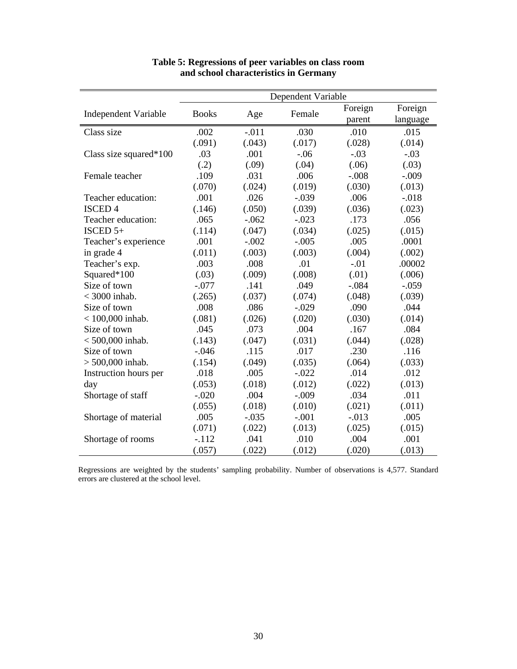|                             | Dependent Variable |         |         |         |          |  |  |
|-----------------------------|--------------------|---------|---------|---------|----------|--|--|
|                             | <b>Books</b>       |         | Female  | Foreign | Foreign  |  |  |
| <b>Independent Variable</b> |                    | Age     |         | parent  | language |  |  |
| Class size                  | .002               | $-.011$ | .030    | .010    | .015     |  |  |
|                             | (.091)             | (.043)  | (.017)  | (.028)  | (.014)   |  |  |
| Class size squared $*100$   | .03                | .001    | $-.06$  | $-.03$  | $-.03$   |  |  |
|                             | (.2)               | (.09)   | (.04)   | (.06)   | (.03)    |  |  |
| Female teacher              | .109               | .031    | .006    | $-.008$ | $-.009$  |  |  |
|                             | (.070)             | (.024)  | (.019)  | (.030)  | (.013)   |  |  |
| Teacher education:          | .001               | .026    | $-.039$ | .006    | $-0.018$ |  |  |
| <b>ISCED4</b>               | (.146)             | (.050)  | (.039)  | (.036)  | (.023)   |  |  |
| Teacher education:          | .065               | $-.062$ | $-.023$ | .173    | .056     |  |  |
| ISCED $5+$                  | (.114)             | (.047)  | (.034)  | (.025)  | (.015)   |  |  |
| Teacher's experience        | .001               | $-.002$ | $-.005$ | .005    | .0001    |  |  |
| in grade 4                  | (.011)             | (.003)  | (.003)  | (.004)  | (.002)   |  |  |
| Teacher's exp.              | .003               | .008    | .01     | $-.01$  | .00002   |  |  |
| Squared*100                 | (.03)              | (.009)  | (.008)  | (.01)   | (.006)   |  |  |
| Size of town                | $-.077$            | .141    | .049    | $-.084$ | $-.059$  |  |  |
| $<$ 3000 inhab.             | (.265)             | (.037)  | (.074)  | (.048)  | (.039)   |  |  |
| Size of town                | .008               | .086    | $-.029$ | .090    | .044     |  |  |
| $< 100,000$ inhab.          | (.081)             | (.026)  | (.020)  | (.030)  | (.014)   |  |  |
| Size of town                | .045               | .073    | .004    | .167    | .084     |  |  |
| $< 500,000$ inhab.          | (.143)             | (.047)  | (.031)  | (.044)  | (.028)   |  |  |
| Size of town                | $-.046$            | .115    | .017    | .230    | .116     |  |  |
| $> 500,000$ inhab.          | (.154)             | (.049)  | (.035)  | (.064)  | (.033)   |  |  |
| Instruction hours per       | .018               | .005    | $-.022$ | .014    | .012     |  |  |
| day                         | (.053)             | (.018)  | (.012)  | (.022)  | (.013)   |  |  |
| Shortage of staff           | $-.020$            | .004    | $-.009$ | .034    | .011     |  |  |
|                             | (.055)             | (.018)  | (.010)  | (.021)  | (.011)   |  |  |
| Shortage of material        | .005               | $-.035$ | $-.001$ | $-.013$ | .005     |  |  |
|                             | (.071)             | (.022)  | (.013)  | (.025)  | (.015)   |  |  |
| Shortage of rooms           | $-.112$            | .041    | .010    | .004    | .001     |  |  |
|                             | (.057)             | (.022)  | (.012)  | (.020)  | (.013)   |  |  |

#### **Table 5: Regressions of peer variables on class room and school characteristics in Germany**

Regressions are weighted by the students' sampling probability. Number of observations is 4,577. Standard errors are clustered at the school level.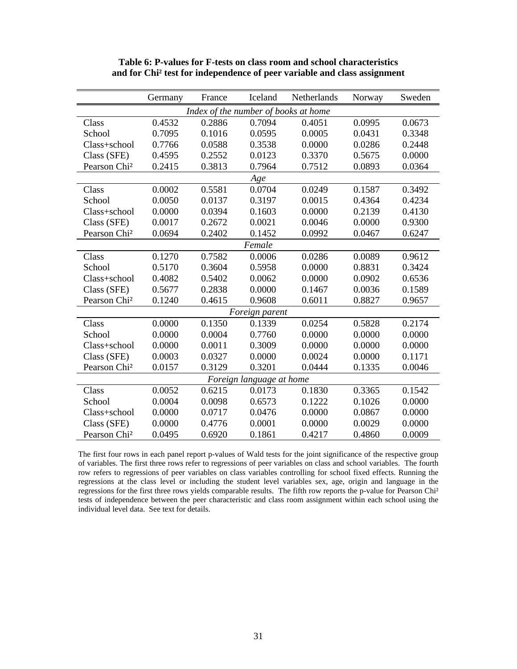|                          | Germany | France | Iceland                              | Netherlands | Norway | Sweden |
|--------------------------|---------|--------|--------------------------------------|-------------|--------|--------|
|                          |         |        | Index of the number of books at home |             |        |        |
| Class                    | 0.4532  | 0.2886 | 0.7094                               | 0.4051      | 0.0995 | 0.0673 |
| School                   | 0.7095  | 0.1016 | 0.0595                               | 0.0005      | 0.0431 | 0.3348 |
| Class+school             | 0.7766  | 0.0588 | 0.3538                               | 0.0000      | 0.0286 | 0.2448 |
| Class (SFE)              | 0.4595  | 0.2552 | 0.0123                               | 0.3370      | 0.5675 | 0.0000 |
| Pearson Chi <sup>2</sup> | 0.2415  | 0.3813 | 0.7964                               | 0.7512      | 0.0893 | 0.0364 |
|                          |         |        | Age                                  |             |        |        |
| Class                    | 0.0002  | 0.5581 | 0.0704                               | 0.0249      | 0.1587 | 0.3492 |
| School                   | 0.0050  | 0.0137 | 0.3197                               | 0.0015      | 0.4364 | 0.4234 |
| Class+school             | 0.0000  | 0.0394 | 0.1603                               | 0.0000      | 0.2139 | 0.4130 |
| Class (SFE)              | 0.0017  | 0.2672 | 0.0021                               | 0.0046      | 0.0000 | 0.9300 |
| Pearson Chi <sup>2</sup> | 0.0694  | 0.2402 | 0.1452                               | 0.0992      | 0.0467 | 0.6247 |
|                          |         |        | Female                               |             |        |        |
| Class                    | 0.1270  | 0.7582 | 0.0006                               | 0.0286      | 0.0089 | 0.9612 |
| School                   | 0.5170  | 0.3604 | 0.5958                               | 0.0000      | 0.8831 | 0.3424 |
| Class+school             | 0.4082  | 0.5402 | 0.0062                               | 0.0000      | 0.0902 | 0.6536 |
| Class (SFE)              | 0.5677  | 0.2838 | 0.0000                               | 0.1467      | 0.0036 | 0.1589 |
| Pearson Chi <sup>2</sup> | 0.1240  | 0.4615 | 0.9608                               | 0.6011      | 0.8827 | 0.9657 |
|                          |         |        | Foreign parent                       |             |        |        |
| Class                    | 0.0000  | 0.1350 | 0.1339                               | 0.0254      | 0.5828 | 0.2174 |
| School                   | 0.0000  | 0.0004 | 0.7760                               | 0.0000      | 0.0000 | 0.0000 |
| Class+school             | 0.0000  | 0.0011 | 0.3009                               | 0.0000      | 0.0000 | 0.0000 |
| Class (SFE)              | 0.0003  | 0.0327 | 0.0000                               | 0.0024      | 0.0000 | 0.1171 |
| Pearson Chi <sup>2</sup> | 0.0157  | 0.3129 | 0.3201                               | 0.0444      | 0.1335 | 0.0046 |
|                          |         |        | Foreign language at home             |             |        |        |
| Class                    | 0.0052  | 0.6215 | 0.0173                               | 0.1830      | 0.3365 | 0.1542 |
| School                   | 0.0004  | 0.0098 | 0.6573                               | 0.1222      | 0.1026 | 0.0000 |
| Class+school             | 0.0000  | 0.0717 | 0.0476                               | 0.0000      | 0.0867 | 0.0000 |
| Class (SFE)              | 0.0000  | 0.4776 | 0.0001                               | 0.0000      | 0.0029 | 0.0000 |
| Pearson Chi <sup>2</sup> | 0.0495  | 0.6920 | 0.1861                               | 0.4217      | 0.4860 | 0.0009 |

**Table 6: P-values for F-tests on class room and school characteristics and for Chi² test for independence of peer variable and class assignment** 

The first four rows in each panel report p-values of Wald tests for the joint significance of the respective group of variables. The first three rows refer to regressions of peer variables on class and school variables. The fourth row refers to regressions of peer variables on class variables controlling for school fixed effects. Running the regressions at the class level or including the student level variables sex, age, origin and language in the regressions for the first three rows yields comparable results. The fifth row reports the p-value for Pearson Chi<sup>2</sup> tests of independence between the peer characteristic and class room assignment within each school using the individual level data. See text for details.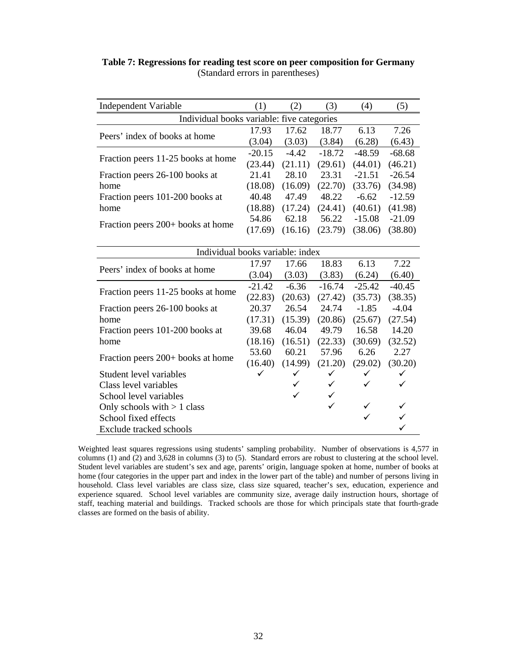| <b>Independent Variable</b>                | (1)      | (2)          | (3)          | (4)      | (5)      |
|--------------------------------------------|----------|--------------|--------------|----------|----------|
| Individual books variable: five categories |          |              |              |          |          |
| Peers' index of books at home              | 17.93    | 17.62        | 18.77        | 6.13     | 7.26     |
|                                            | (3.04)   | (3.03)       | (3.84)       | (6.28)   | (6.43)   |
|                                            | $-20.15$ | $-4.42$      | $-18.72$     | $-48.59$ | $-68.68$ |
| Fraction peers 11-25 books at home         | (23.44)  | (21.11)      | (29.61)      | (44.01)  | (46.21)  |
| Fraction peers 26-100 books at             | 21.41    | 28.10        | 23.31        | $-21.51$ | $-26.54$ |
| home                                       | (18.08)  | (16.09)      | (22.70)      | (33.76)  | (34.98)  |
| Fraction peers 101-200 books at            | 40.48    | 47.49        | 48.22        | $-6.62$  | $-12.59$ |
| home                                       | (18.88)  | (17.24)      | (24.41)      | (40.61)  | (41.98)  |
|                                            | 54.86    | 62.18        | 56.22        | $-15.08$ | $-21.09$ |
| Fraction peers 200+ books at home          | (17.69)  | (16.16)      | (23.79)      | (38.06)  | (38.80)  |
|                                            |          |              |              |          |          |
| Individual books variable: index           |          |              |              |          |          |
| Peers' index of books at home              | 17.97    | 17.66        | 18.83        | 6.13     | 7.22     |
|                                            | (3.04)   | (3.03)       | (3.83)       | (6.24)   | (6.40)   |
|                                            | $-21.42$ | $-6.36$      | $-16.74$     | $-25.42$ | $-40.45$ |
| Fraction peers 11-25 books at home         | (22.83)  | (20.63)      | (27.42)      | (35.73)  | (38.35)  |
| Fraction peers 26-100 books at             | 20.37    | 26.54        | 24.74        | $-1.85$  | $-4.04$  |
| home                                       | (17.31)  | (15.39)      | (20.86)      | (25.67)  | (27.54)  |
| Fraction peers 101-200 books at            | 39.68    | 46.04        | 49.79        | 16.58    | 14.20    |
| home                                       | (18.16)  | (16.51)      | (22.33)      | (30.69)  | (32.52)  |
| Fraction peers 200+ books at home          | 53.60    | 60.21        | 57.96        | 6.26     | 2.27     |
|                                            | (16.40)  | (14.99)      | (21.20)      | (29.02)  | (30.20)  |
| Student level variables                    | ✓        | $\checkmark$ | ✓            | ✓        | ✓        |
| Class level variables                      |          | ✓            | $\checkmark$ | ✓        | ✓        |
| School level variables                     |          | ✓            | ✓            |          |          |
| Only schools with $> 1$ class              |          |              | ✓            | ✓        |          |
| School fixed effects                       |          |              |              | ✓        |          |
| Exclude tracked schools                    |          |              |              |          |          |

#### **Table 7: Regressions for reading test score on peer composition for Germany**  (Standard errors in parentheses)

Weighted least squares regressions using students' sampling probability. Number of observations is 4,577 in columns (1) and (2) and 3,628 in columns (3) to (5). Standard errors are robust to clustering at the school level. Student level variables are student's sex and age, parents' origin, language spoken at home, number of books at home (four categories in the upper part and index in the lower part of the table) and number of persons living in household. Class level variables are class size, class size squared, teacher's sex, education, experience and experience squared. School level variables are community size, average daily instruction hours, shortage of staff, teaching material and buildings. Tracked schools are those for which principals state that fourth-grade classes are formed on the basis of ability.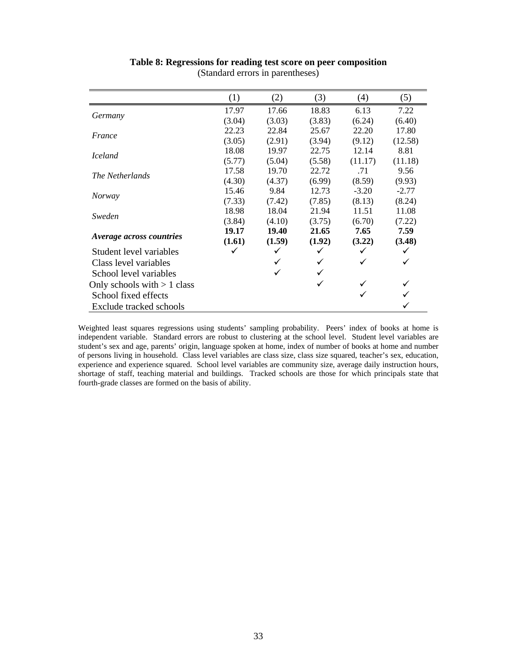|                               | (1)    | (2)    | (3)    | (4)     | (5)     |
|-------------------------------|--------|--------|--------|---------|---------|
|                               | 17.97  | 17.66  | 18.83  | 6.13    | 7.22    |
| Germany                       | (3.04) | (3.03) | (3.83) | (6.24)  | (6.40)  |
| France                        | 22.23  | 22.84  | 25.67  | 22.20   | 17.80   |
|                               | (3.05) | (2.91) | (3.94) | (9.12)  | (12.58) |
| <i>Iceland</i>                | 18.08  | 19.97  | 22.75  | 12.14   | 8.81    |
|                               | (5.77) | (5.04) | (5.58) | (11.17) | (11.18) |
| The Netherlands               | 17.58  | 19.70  | 22.72  | .71     | 9.56    |
|                               | (4.30) | (4.37) | (6.99) | (8.59)  | (9.93)  |
| <b>Norway</b>                 | 15.46  | 9.84   | 12.73  | $-3.20$ | $-2.77$ |
|                               | (7.33) | (7.42) | (7.85) | (8.13)  | (8.24)  |
| Sweden                        | 18.98  | 18.04  | 21.94  | 11.51   | 11.08   |
|                               | (3.84) | (4.10) | (3.75) | (6.70)  | (7.22)  |
|                               | 19.17  | 19.40  | 21.65  | 7.65    | 7.59    |
| Average across countries      | (1.61) | (1.59) | (1.92) | (3.22)  | (3.48)  |
| Student level variables       |        |        |        | ✓       |         |
| Class level variables         |        |        |        | ✓       |         |
| School level variables        |        |        |        |         |         |
| Only schools with $> 1$ class |        |        | ✓      |         |         |
| School fixed effects          |        |        |        |         |         |
| Exclude tracked schools       |        |        |        |         |         |

#### **Table 8: Regressions for reading test score on peer composition**  (Standard errors in parentheses)

Weighted least squares regressions using students' sampling probability. Peers' index of books at home is independent variable. Standard errors are robust to clustering at the school level. Student level variables are student's sex and age, parents' origin, language spoken at home, index of number of books at home and number of persons living in household. Class level variables are class size, class size squared, teacher's sex, education, experience and experience squared. School level variables are community size, average daily instruction hours, shortage of staff, teaching material and buildings. Tracked schools are those for which principals state that fourth-grade classes are formed on the basis of ability.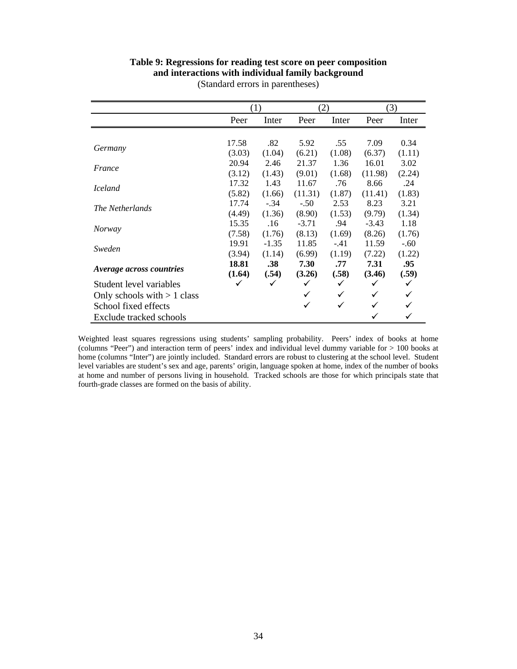#### **Table 9: Regressions for reading test score on peer composition and interactions with individual family background**

|                               |        | (1)     | (2)     |        | (3)     |        |
|-------------------------------|--------|---------|---------|--------|---------|--------|
|                               | Peer   | Inter   | Peer    | Inter  | Peer    | Inter  |
|                               |        |         |         |        |         |        |
| Germany                       | 17.58  | .82     | 5.92    | .55    | 7.09    | 0.34   |
|                               | (3.03) | (1.04)  | (6.21)  | (1.08) | (6.37)  | (1.11) |
| France                        | 20.94  | 2.46    | 21.37   | 1.36   | 16.01   | 3.02   |
|                               | (3.12) | (1.43)  | (9.01)  | (1.68) | (11.98) | (2.24) |
| <i>Iceland</i>                | 17.32  | 1.43    | 11.67   | .76    | 8.66    | .24    |
|                               | (5.82) | (1.66)  | (11.31) | (1.87) | (11.41) | (1.83) |
| The Netherlands               | 17.74  | $-.34$  | $-.50$  | 2.53   | 8.23    | 3.21   |
|                               | (4.49) | (1.36)  | (8.90)  | (1.53) | (9.79)  | (1.34) |
|                               | 15.35  | .16     | $-3.71$ | .94    | $-3.43$ | 1.18   |
| <i>Norway</i>                 | (7.58) | (1.76)  | (8.13)  | (1.69) | (8.26)  | (1.76) |
| Sweden                        | 19.91  | $-1.35$ | 11.85   | $-.41$ | 11.59   | $-.60$ |
|                               | (3.94) | (1.14)  | (6.99)  | (1.19) | (7.22)  | (1.22) |
| Average across countries      | 18.81  | .38     | 7.30    | .77    | 7.31    | .95    |
|                               | (1.64) | (.54)   | (3.26)  | (.58)  | (3.46)  | (.59)  |
| Student level variables       |        | ✓       | ✓       | ✓      | ✓       | ✓      |
| Only schools with $> 1$ class |        |         | ✓       | ✓      | ✓       | ✓      |
| School fixed effects          |        |         | ✓       | ✓      | ✓       |        |
| Exclude tracked schools       |        |         |         |        |         |        |

(Standard errors in parentheses)

Weighted least squares regressions using students' sampling probability. Peers' index of books at home (columns "Peer") and interaction term of peers' index and individual level dummy variable for > 100 books at home (columns "Inter") are jointly included. Standard errors are robust to clustering at the school level. Student level variables are student's sex and age, parents' origin, language spoken at home, index of the number of books at home and number of persons living in household. Tracked schools are those for which principals state that fourth-grade classes are formed on the basis of ability.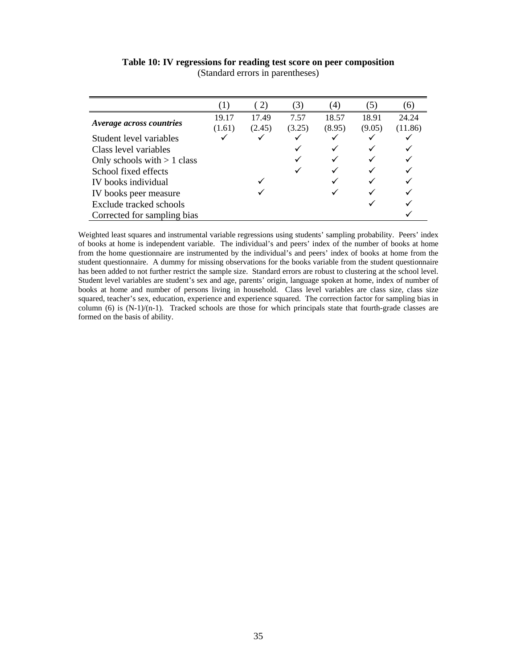|                                 | (1)    | (2)    | (3)    | $\left(4\right)$ | (5)    | (6)     |
|---------------------------------|--------|--------|--------|------------------|--------|---------|
|                                 | 19.17  | 17.49  | 7.57   | 18.57            | 18.91  | 24.24   |
| <i>Average across countries</i> | (1.61) | (2.45) | (3.25) | (8.95)           | (9.05) | (11.86) |
| Student level variables         |        |        |        |                  |        |         |
| Class level variables           |        |        |        |                  |        |         |
| Only schools with $> 1$ class   |        |        |        |                  |        |         |
| School fixed effects            |        |        |        |                  |        |         |
| IV books individual             |        |        |        |                  |        |         |
| IV books peer measure           |        |        |        |                  |        |         |
| Exclude tracked schools         |        |        |        |                  |        |         |
| Corrected for sampling bias     |        |        |        |                  |        |         |

**Table 10: IV regressions for reading test score on peer composition**  (Standard errors in parentheses)

Weighted least squares and instrumental variable regressions using students' sampling probability. Peers' index of books at home is independent variable. The individual's and peers' index of the number of books at home from the home questionnaire are instrumented by the individual's and peers' index of books at home from the student questionnaire. A dummy for missing observations for the books variable from the student questionnaire has been added to not further restrict the sample size. Standard errors are robust to clustering at the school level. Student level variables are student's sex and age, parents' origin, language spoken at home, index of number of books at home and number of persons living in household. Class level variables are class size, class size squared, teacher's sex, education, experience and experience squared. The correction factor for sampling bias in column (6) is  $(N-1)/(n-1)$ . Tracked schools are those for which principals state that fourth-grade classes are formed on the basis of ability.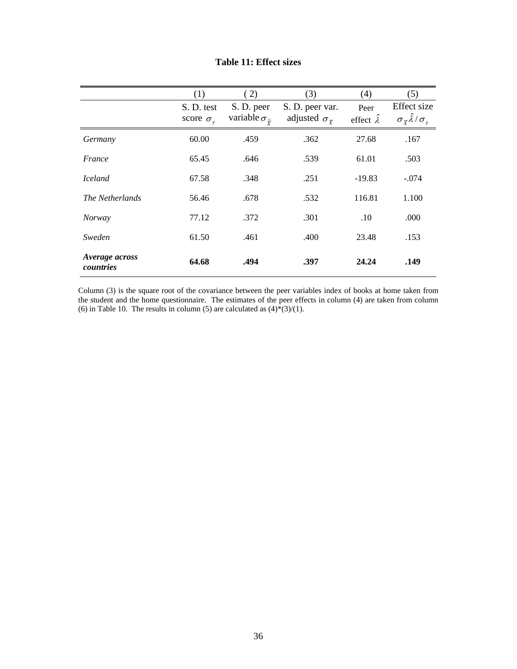|                             | (1)                | (2)                              | (3)                              | (4)                    | (5)                                                        |
|-----------------------------|--------------------|----------------------------------|----------------------------------|------------------------|------------------------------------------------------------|
|                             | S. D. test         | S. D. peer                       | S. D. peer var.                  | Peer                   | Effect size                                                |
|                             | score $\sigma_{v}$ | variable $\sigma_{\tilde{\tau}}$ | adjusted $\sigma_{\overline{v}}$ | effect $\hat{\lambda}$ | $\sigma_{\overline{x}}\hat{\lambda}/\sigma_{\overline{y}}$ |
| Germany                     | 60.00              | .459                             | .362                             | 27.68                  | .167                                                       |
| France                      | 65.45              | .646                             | .539                             | 61.01                  | .503                                                       |
| <i>Iceland</i>              | 67.58              | .348                             | .251                             | $-19.83$               | $-.074$                                                    |
| The Netherlands             | 56.46              | .678                             | .532                             | 116.81                 | 1.100                                                      |
| <i>Norway</i>               | 77.12              | .372                             | .301                             | .10                    | .000                                                       |
| Sweden                      | 61.50              | .461                             | .400                             | 23.48                  | .153                                                       |
| Average across<br>countries | 64.68              | .494                             | .397                             | 24.24                  | .149                                                       |

#### **Table 11: Effect sizes**

Column (3) is the square root of the covariance between the peer variables index of books at home taken from the student and the home questionnaire. The estimates of the peer effects in column (4) are taken from column (6) in Table 10. The results in column (5) are calculated as  $(4) * (3)/(1)$ .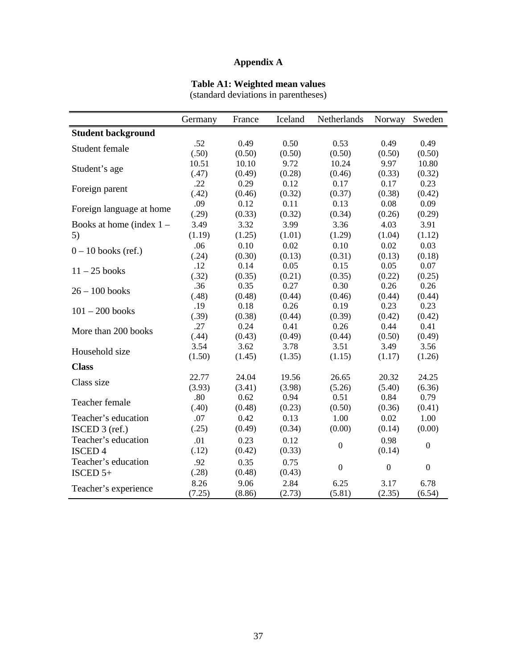### **Appendix A**

### **Table A1: Weighted mean values**

(standard deviations in parentheses)

|                            | Germany | France | Iceland | Netherlands      | Norway           | Sweden           |
|----------------------------|---------|--------|---------|------------------|------------------|------------------|
| <b>Student background</b>  |         |        |         |                  |                  |                  |
| Student female             | .52     | 0.49   | 0.50    | 0.53             | 0.49             | 0.49             |
|                            | (.50)   | (0.50) | (0.50)  | (0.50)           | (0.50)           | (0.50)           |
| Student's age              | 10.51   | 10.10  | 9.72    | 10.24            | 9.97             | 10.80            |
|                            | (.47)   | (0.49) | (0.28)  | (0.46)           | (0.33)           | (0.32)           |
| Foreign parent             | .22     | 0.29   | 0.12    | 0.17             | 0.17             | 0.23             |
|                            | (.42)   | (0.46) | (0.32)  | (0.37)           | (0.38)           | (0.42)           |
| Foreign language at home   | .09     | 0.12   | 0.11    | 0.13             | 0.08             | 0.09             |
|                            | (.29)   | (0.33) | (0.32)  | (0.34)           | (0.26)           | (0.29)           |
| Books at home (index $1 -$ | 3.49    | 3.32   | 3.99    | 3.36             | 4.03             | 3.91             |
| 5)                         | (1.19)  | (1.25) | (1.01)  | (1.29)           | (1.04)           | (1.12)           |
| $0 - 10$ books (ref.)      | .06     | 0.10   | 0.02    | 0.10             | 0.02             | 0.03             |
|                            | (.24)   | (0.30) | (0.13)  | (0.31)           | (0.13)           | (0.18)           |
| $11 - 25$ books            | .12     | 0.14   | 0.05    | 0.15             | 0.05             | 0.07             |
|                            | (.32)   | (0.35) | (0.21)  | (0.35)           | (0.22)           | (0.25)           |
| $26 - 100$ books           | .36     | 0.35   | 0.27    | 0.30             | 0.26             | 0.26             |
|                            | (.48)   | (0.48) | (0.44)  | (0.46)           | (0.44)           | (0.44)           |
| $101 - 200$ books          | .19     | 0.18   | 0.26    | 0.19             | 0.23             | 0.23             |
|                            | (.39)   | (0.38) | (0.44)  | (0.39)           | (0.42)           | (0.42)           |
| More than 200 books        | .27     | 0.24   | 0.41    | 0.26             | 0.44             | 0.41             |
|                            | (.44)   | (0.43) | (0.49)  | (0.44)           | (0.50)           | (0.49)           |
| Household size             | 3.54    | 3.62   | 3.78    | 3.51             | 3.49             | 3.56             |
|                            | (1.50)  | (1.45) | (1.35)  | (1.15)           | (1.17)           | (1.26)           |
| <b>Class</b>               |         |        |         |                  |                  |                  |
| Class size                 | 22.77   | 24.04  | 19.56   | 26.65            | 20.32            | 24.25            |
|                            | (3.93)  | (3.41) | (3.98)  | (5.26)           | (5.40)           | (6.36)           |
| Teacher female             | .80     | 0.62   | 0.94    | 0.51             | 0.84             | 0.79             |
|                            | (.40)   | (0.48) | (0.23)  | (0.50)           | (0.36)           | (0.41)           |
| Teacher's education        | .07     | 0.42   | 0.13    | 1.00             | 0.02             | 1.00             |
| ISCED $3$ (ref.)           | (.25)   | (0.49) | (0.34)  | (0.00)           | (0.14)           | (0.00)           |
| Teacher's education        | .01     | 0.23   | 0.12    |                  | 0.98             |                  |
| <b>ISCED 4</b>             | (.12)   | (0.42) | (0.33)  | $\boldsymbol{0}$ | (0.14)           | $\overline{0}$   |
| Teacher's education        | .92     | 0.35   | 0.75    |                  |                  |                  |
| ISCED $5+$                 | (.28)   | (0.48) | (0.43)  | $\boldsymbol{0}$ | $\boldsymbol{0}$ | $\boldsymbol{0}$ |
|                            | 8.26    | 9.06   | 2.84    | 6.25             | 3.17             | 6.78             |
| Teacher's experience       | (7.25)  | (8.86) | (2.73)  | (5.81)           | (2.35)           | (6.54)           |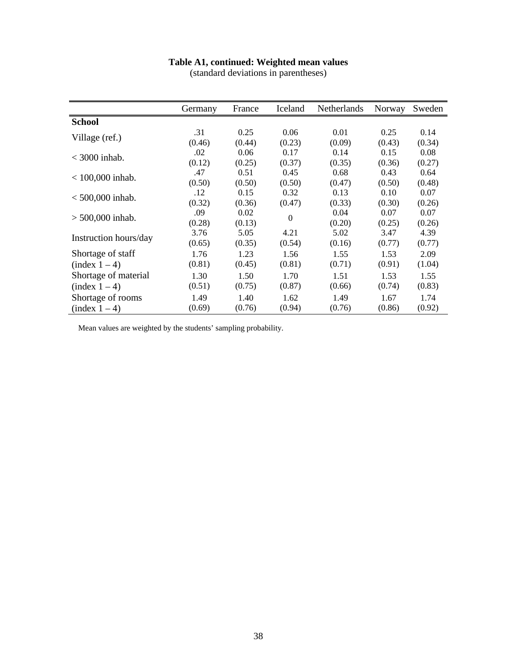### **Table A1, continued: Weighted mean values**

(standard deviations in parentheses)

|                       | Germany | France | Iceland        | Netherlands | Norway | Sweden |
|-----------------------|---------|--------|----------------|-------------|--------|--------|
| <b>School</b>         |         |        |                |             |        |        |
|                       | .31     | 0.25   | 0.06           | 0.01        | 0.25   | 0.14   |
| Village (ref.)        | (0.46)  | (0.44) | (0.23)         | (0.09)      | (0.43) | (0.34) |
| $<$ 3000 inhab.       | .02     | 0.06   | 0.17           | 0.14        | 0.15   | 0.08   |
|                       | (0.12)  | (0.25) | (0.37)         | (0.35)      | (0.36) | (0.27) |
| $< 100,000$ inhab.    | .47     | 0.51   | 0.45           | 0.68        | 0.43   | 0.64   |
|                       | (0.50)  | (0.50) | (0.50)         | (0.47)      | (0.50) | (0.48) |
| $< 500,000$ inhab.    | .12     | 0.15   | 0.32           | 0.13        | 0.10   | 0.07   |
|                       | (0.32)  | (0.36) | (0.47)         | (0.33)      | (0.30) | (0.26) |
| $> 500,000$ inhab.    | .09     | 0.02   | $\overline{0}$ | 0.04        | 0.07   | 0.07   |
|                       | (0.28)  | (0.13) |                | (0.20)      | (0.25) | (0.26) |
| Instruction hours/day | 3.76    | 5.05   | 4.21           | 5.02        | 3.47   | 4.39   |
|                       | (0.65)  | (0.35) | (0.54)         | (0.16)      | (0.77) | (0.77) |
| Shortage of staff     | 1.76    | 1.23   | 1.56           | 1.55        | 1.53   | 2.09   |
| (index 1 – 4)         | (0.81)  | (0.45) | (0.81)         | (0.71)      | (0.91) | (1.04) |
| Shortage of material  | 1.30    | 1.50   | 1.70           | 1.51        | 1.53   | 1.55   |
| (index 1 – 4)         | (0.51)  | (0.75) | (0.87)         | (0.66)      | (0.74) | (0.83) |
| Shortage of rooms     | 1.49    | 1.40   | 1.62           | 1.49        | 1.67   | 1.74   |
| (index 1 – 4)         | (0.69)  | (0.76) | (0.94)         | (0.76)      | (0.86) | (0.92) |

Mean values are weighted by the students' sampling probability.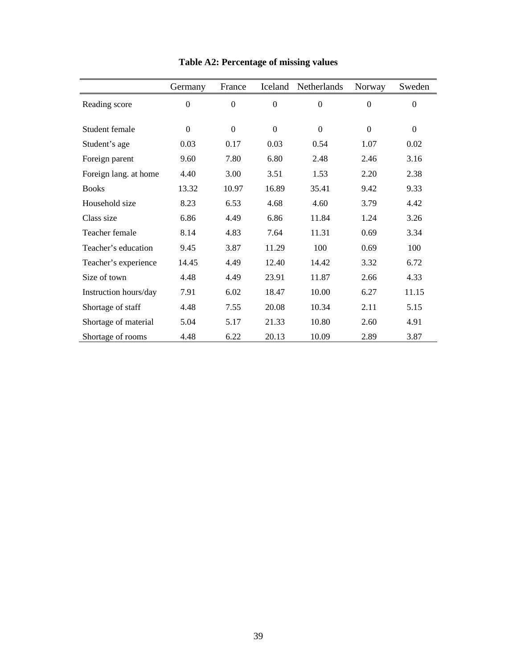|                       | Germany          | France           | Iceland          | Netherlands      | Norway           | Sweden           |
|-----------------------|------------------|------------------|------------------|------------------|------------------|------------------|
| Reading score         | $\boldsymbol{0}$ | $\boldsymbol{0}$ | $\boldsymbol{0}$ | $\boldsymbol{0}$ | $\boldsymbol{0}$ | $\boldsymbol{0}$ |
| Student female        | $\boldsymbol{0}$ | $\mathbf{0}$     | $\Omega$         | $\overline{0}$   | $\Omega$         | $\theta$         |
| Student's age         | 0.03             | 0.17             | 0.03             | 0.54             | 1.07             | 0.02             |
| Foreign parent        | 9.60             | 7.80             | 6.80             | 2.48             | 2.46             | 3.16             |
| Foreign lang. at home | 4.40             | 3.00             | 3.51             | 1.53             | 2.20             | 2.38             |
| <b>Books</b>          | 13.32            | 10.97            | 16.89            | 35.41            | 9.42             | 9.33             |
| Household size        | 8.23             | 6.53             | 4.68             | 4.60             | 3.79             | 4.42             |
| Class size            | 6.86             | 4.49             | 6.86             | 11.84            | 1.24             | 3.26             |
| Teacher female        | 8.14             | 4.83             | 7.64             | 11.31            | 0.69             | 3.34             |
| Teacher's education   | 9.45             | 3.87             | 11.29            | 100              | 0.69             | 100              |
| Teacher's experience  | 14.45            | 4.49             | 12.40            | 14.42            | 3.32             | 6.72             |
| Size of town          | 4.48             | 4.49             | 23.91            | 11.87            | 2.66             | 4.33             |
| Instruction hours/day | 7.91             | 6.02             | 18.47            | 10.00            | 6.27             | 11.15            |
| Shortage of staff     | 4.48             | 7.55             | 20.08            | 10.34            | 2.11             | 5.15             |
| Shortage of material  | 5.04             | 5.17             | 21.33            | 10.80            | 2.60             | 4.91             |
| Shortage of rooms     | 4.48             | 6.22             | 20.13            | 10.09            | 2.89             | 3.87             |

**Table A2: Percentage of missing values**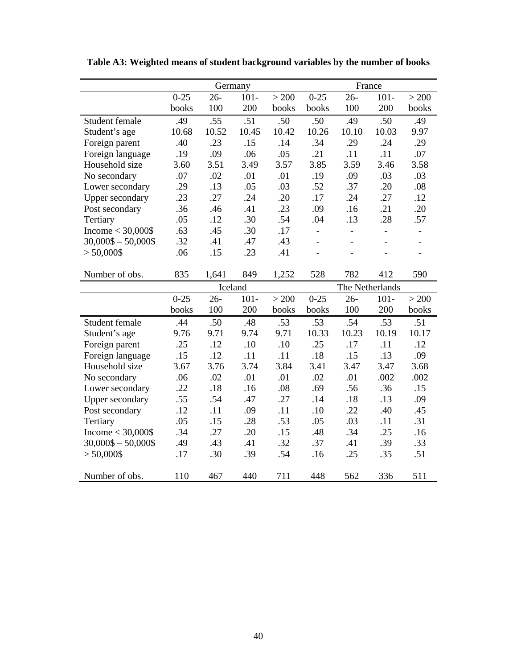|                        | Germany  |         |         |       | France         |                 |                          |                |  |
|------------------------|----------|---------|---------|-------|----------------|-----------------|--------------------------|----------------|--|
|                        | $0 - 25$ | $26 -$  | $101 -$ | > 200 | $0 - 25$       | $26 -$          | $101 -$                  | > 200          |  |
|                        | books    | 100     | 200     | books | books          | 100             | 200                      | books          |  |
| Student female         | .49      | .55     | .51     | .50   | .50            | .49             | .50                      | .49            |  |
| Student's age          | 10.68    | 10.52   | 10.45   | 10.42 | 10.26          | 10.10           | 10.03                    | 9.97           |  |
| Foreign parent         | .40      | .23     | .15     | .14   | .34            | .29             | .24                      | .29            |  |
| Foreign language       | .19      | .09     | .06     | .05   | .21            | .11             | .11                      | .07            |  |
| Household size         | 3.60     | 3.51    | 3.49    | 3.57  | 3.85           | 3.59            | 3.46                     | 3.58           |  |
| No secondary           | .07      | .02     | .01     | .01   | .19            | .09             | .03                      | .03            |  |
| Lower secondary        | .29      | .13     | .05     | .03   | .52            | .37             | .20                      | $.08\,$        |  |
| <b>Upper secondary</b> | .23      | .27     | .24     | .20   | .17            | .24             | .27                      | .12            |  |
| Post secondary         | .36      | .46     | .41     | .23   | .09            | .16             | .21                      | .20            |  |
| Tertiary               | .05      | .12     | .30     | .54   | .04            | .13             | .28                      | .57            |  |
| Income $<$ 30,000\$    | .63      | .45     | .30     | .17   | $\blacksquare$ | $\blacksquare$  | $\overline{\phantom{a}}$ | $\overline{a}$ |  |
| $30,000\$ - $50,000\$  | .32      | .41     | .47     | .43   | $\overline{a}$ | $\overline{a}$  | $\blacksquare$           | $\blacksquare$ |  |
| $> 50,000$ \$          | .06      | .15     | .23     | .41   | $\overline{a}$ | $\blacksquare$  |                          | $\overline{a}$ |  |
|                        |          |         |         |       |                |                 |                          |                |  |
| Number of obs.         | 835      | 1,641   | 849     | 1,252 | 528            | 782             | 412                      | 590            |  |
|                        |          | Iceland |         |       |                | The Netherlands |                          |                |  |
|                        | $0 - 25$ | $26 -$  | $101 -$ | > 200 | $0 - 25$       | $26 -$          | $101 -$                  | > 200          |  |
|                        | books    | 100     | 200     | books | books          | 100             | 200                      | books          |  |
| Student female         | .44      | .50     | .48     | .53   | .53            | .54             | .53                      | .51            |  |
| Student's age          | 9.76     | 9.71    | 9.74    | 9.71  | 10.33          | 10.23           | 10.19                    | 10.17          |  |
| Foreign parent         | .25      | .12     | .10     | .10   | .25            | .17             | .11                      | .12            |  |
| Foreign language       | .15      | .12     | .11     | .11   | .18            | .15             | .13                      | .09            |  |
| Household size         | 3.67     | 3.76    | 3.74    | 3.84  | 3.41           | 3.47            | 3.47                     | 3.68           |  |
| No secondary           | .06      | .02     | .01     | .01   | .02            | .01             | .002                     | .002           |  |
| Lower secondary        | .22      | .18     | .16     | .08   | .69            | .56             | .36                      | .15            |  |
| <b>Upper secondary</b> | .55      | .54     | .47     | .27   | .14            | .18             | .13                      | .09            |  |
| Post secondary         | .12      | .11     | .09     | .11   | .10            | .22             | .40                      | .45            |  |
| Tertiary               | .05      | .15     | .28     | .53   | .05            | .03             | .11                      | .31            |  |
| Income $<$ 30,000\$    | .34      | .27     | .20     | .15   | .48            | .34             | .25                      | .16            |  |
| $30,000\$ - $50,000\$  | .49      | .43     | .41     | .32   | .37            | .41             | .39                      | .33            |  |
| $> 50,000$ \$          | .17      | .30     | .39     | .54   | .16            | .25             | .35                      | .51            |  |
| Number of obs.         | 110      | 467     | 440     | 711   | 448            | 562             | 336                      | 511            |  |

**Table A3: Weighted means of student background variables by the number of books**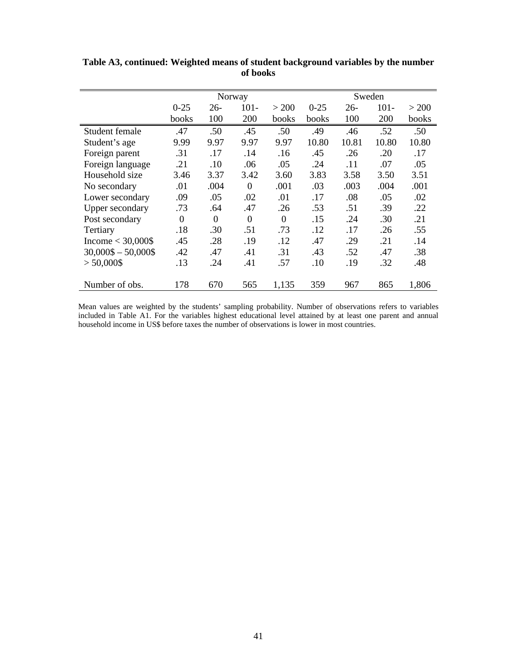|                       | Norway   |          |          |          | Sweden   |        |         |       |
|-----------------------|----------|----------|----------|----------|----------|--------|---------|-------|
|                       | $0 - 25$ | $26-$    | $101 -$  | > 200    | $0 - 25$ | $26 -$ | $101 -$ | > 200 |
|                       | books    | 100      | 200      | books    | books    | 100    | 200     | books |
| Student female        | .47      | .50      | .45      | .50      | .49      | .46    | .52     | .50   |
| Student's age         | 9.99     | 9.97     | 9.97     | 9.97     | 10.80    | 10.81  | 10.80   | 10.80 |
| Foreign parent        | .31      | .17      | .14      | .16      | .45      | .26    | .20     | .17   |
| Foreign language      | .21      | .10      | .06      | .05      | .24      | .11    | .07     | .05   |
| Household size        | 3.46     | 3.37     | 3.42     | 3.60     | 3.83     | 3.58   | 3.50    | 3.51  |
| No secondary          | .01      | .004     | $\Omega$ | .001     | .03      | .003   | .004    | .001  |
| Lower secondary       | .09      | .05      | .02      | .01      | .17      | .08    | .05     | .02   |
| Upper secondary       | .73      | .64      | .47      | .26      | .53      | .51    | .39     | .22   |
| Post secondary        | $\Omega$ | $\Omega$ | $\Omega$ | $\Omega$ | .15      | .24    | .30     | .21   |
| Tertiary              | .18      | .30      | .51      | .73      | .12      | .17    | .26     | .55   |
| Income $<$ 30,000\$   | .45      | .28      | .19      | .12      | .47      | .29    | .21     | .14   |
| $30,000\$ - $50,000\$ | .42      | .47      | .41      | .31      | .43      | .52    | .47     | .38   |
| $> 50,000$ \$         | .13      | .24      | .41      | .57      | .10      | .19    | .32     | .48   |
|                       |          |          |          |          |          |        |         |       |
| Number of obs.        | 178      | 670      | 565      | 1,135    | 359      | 967    | 865     | 1,806 |

**Table A3, continued: Weighted means of student background variables by the number of books**

Mean values are weighted by the students' sampling probability. Number of observations refers to variables included in Table A1. For the variables highest educational level attained by at least one parent and annual household income in US\$ before taxes the number of observations is lower in most countries.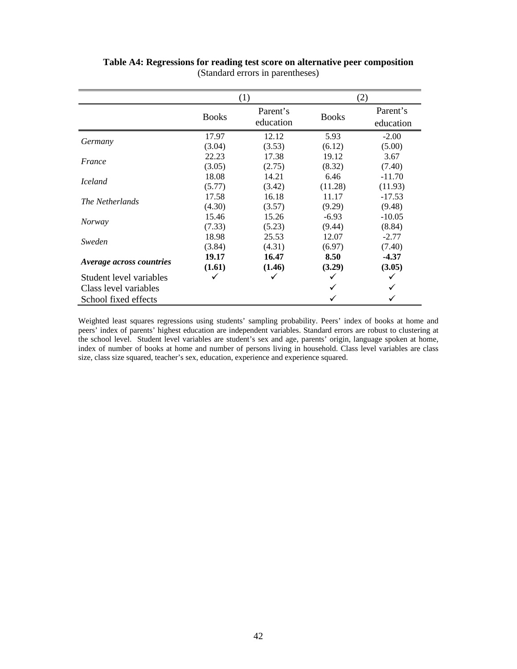|                                 |              | (1)       | (2)          |           |  |
|---------------------------------|--------------|-----------|--------------|-----------|--|
|                                 | <b>Books</b> | Parent's  | <b>Books</b> | Parent's  |  |
|                                 |              | education |              | education |  |
| Germany                         | 17.97        | 12.12     | 5.93         | $-2.00$   |  |
|                                 | (3.04)       | (3.53)    | (6.12)       | (5.00)    |  |
| France                          | 22.23        | 17.38     | 19.12        | 3.67      |  |
|                                 | (3.05)       | (2.75)    | (8.32)       | (7.40)    |  |
| <i>Iceland</i>                  | 18.08        | 14.21     | 6.46         | $-11.70$  |  |
|                                 | (5.77)       | (3.42)    | (11.28)      | (11.93)   |  |
|                                 | 17.58        | 16.18     | 11.17        | $-17.53$  |  |
| The Netherlands                 | (4.30)       | (3.57)    | (9.29)       | (9.48)    |  |
|                                 | 15.46        | 15.26     | $-6.93$      | $-10.05$  |  |
| <i>Norway</i>                   | (7.33)       | (5.23)    | (9.44)       | (8.84)    |  |
| Sweden                          | 18.98        | 25.53     | 12.07        | $-2.77$   |  |
|                                 | (3.84)       | (4.31)    | (6.97)       | (7.40)    |  |
|                                 | 19.17        | 16.47     | 8.50         | $-4.37$   |  |
| <i>Average across countries</i> | (1.61)       | (1.46)    | (3.29)       | (3.05)    |  |
| Student level variables         |              | ✓         |              |           |  |
| Class level variables           |              |           |              |           |  |
| School fixed effects            |              |           |              |           |  |

**Table A4: Regressions for reading test score on alternative peer composition**  (Standard errors in parentheses)

Weighted least squares regressions using students' sampling probability. Peers' index of books at home and peers' index of parents' highest education are independent variables. Standard errors are robust to clustering at the school level. Student level variables are student's sex and age, parents' origin, language spoken at home, index of number of books at home and number of persons living in household. Class level variables are class size, class size squared, teacher's sex, education, experience and experience squared.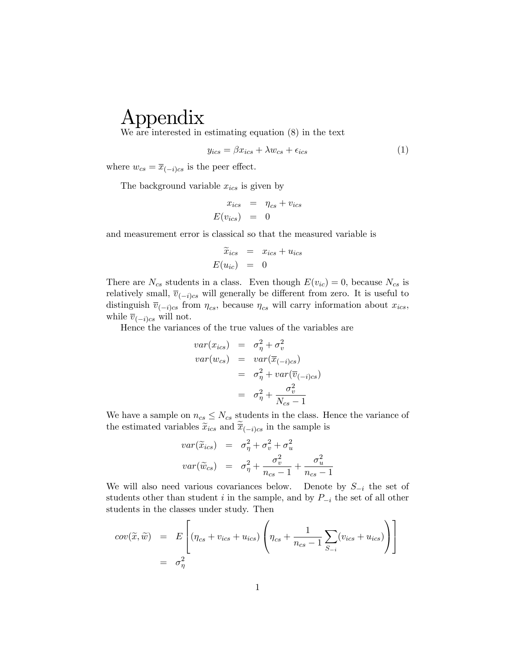# Appendix

We are interested in estimating equation (8) in the text

$$
y_{ics} = \beta x_{ics} + \lambda w_{cs} + \epsilon_{ics} \tag{1}
$$

where  $w_{cs} = \overline{x}_{(-i)cs}$  is the peer effect.

The background variable  $x_{ics}$  is given by

$$
x_{ics} = \eta_{cs} + v_{ics}
$$

$$
E(v_{ics}) = 0
$$

and measurement error is classical so that the measured variable is

$$
\begin{array}{rcl}\n\widetilde{x}_{ics} & = & x_{ics} + u_{ics} \\
E(u_{ic}) & = & 0\n\end{array}
$$

There are  $N_{cs}$  students in a class. Even though  $E(v_{ic}) = 0$ , because  $N_{cs}$  is relatively small,  $\overline{v}_{(-i)cs}$  will generally be different from zero. It is useful to distinguish  $\overline{v}_{(-i)cs}$  from  $\eta_{cs}$ , because  $\eta_{cs}$  will carry information about  $x_{ics}$ , while  $\overline{v}_{(-i)c s}$  will not.

Hence the variances of the true values of the variables are

$$
var(x_{ics}) = \sigma_{\eta}^{2} + \sigma_{v}^{2}
$$
  

$$
var(w_{cs}) = var(\overline{x}_{(-i)cs})
$$
  

$$
= \sigma_{\eta}^{2} + var(\overline{v}_{(-i)cs})
$$
  

$$
= \sigma_{\eta}^{2} + \frac{\sigma_{v}^{2}}{N_{cs} - 1}
$$

We have a sample on  $n_{cs} \leq N_{cs}$  students in the class. Hence the variance of the estimated variables  $\tilde{x}_{ics}$  and  $\tilde{\overline{x}}_{(-i)c\overline{s}}$  in the sample is

$$
var(\widetilde{x}_{ics}) = \sigma_{\eta}^{2} + \sigma_{v}^{2} + \sigma_{u}^{2}
$$

$$
var(\widetilde{w}_{cs}) = \sigma_{\eta}^{2} + \frac{\sigma_{v}^{2}}{n_{cs} - 1} + \frac{\sigma_{u}^{2}}{n_{cs} - 1}
$$

We will also need various covariances below. Denote by  $S_{-i}$  the set of students other than student i in the sample, and by  $P_{-i}$  the set of all other students in the classes under study. Then

$$
cov(\widetilde{x}, \widetilde{w}) = E\left[ (\eta_{cs} + v_{ics} + u_{ics}) \left( \eta_{cs} + \frac{1}{n_{cs} - 1} \sum_{S_{-i}} (v_{ics} + u_{ics}) \right) \right]
$$
  
=  $\sigma_{\eta}^{2}$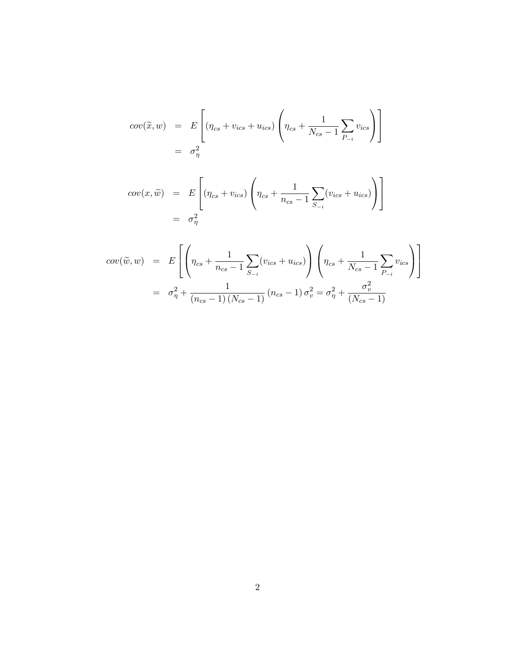$$
cov(\tilde{x}, w) = E\left[ (\eta_{cs} + v_{ics} + u_{ics}) \left( \eta_{cs} + \frac{1}{N_{cs} - 1} \sum_{P_{-i}} v_{ics} \right) \right]
$$
  
=  $\sigma_{\eta}^{2}$ 

$$
cov(x, \tilde{w}) = E\left[ (\eta_{cs} + v_{ics}) \left( \eta_{cs} + \frac{1}{n_{cs} - 1} \sum_{S_{-i}} (v_{ics} + u_{ics}) \right) \right]
$$
  
=  $\sigma_{\eta}^{2}$ 

$$
cov(\tilde{w}, w) = E\left[\left(\eta_{cs} + \frac{1}{n_{cs} - 1} \sum_{S=i} (v_{ics} + u_{ics})\right) \left(\eta_{cs} + \frac{1}{N_{cs} - 1} \sum_{P=i} v_{ics}\right)\right]
$$
  
=  $\sigma_{\eta}^{2} + \frac{1}{(n_{cs} - 1) (N_{cs} - 1)} (n_{cs} - 1) \sigma_{v}^{2} = \sigma_{\eta}^{2} + \frac{\sigma_{v}^{2}}{(N_{cs} - 1)}$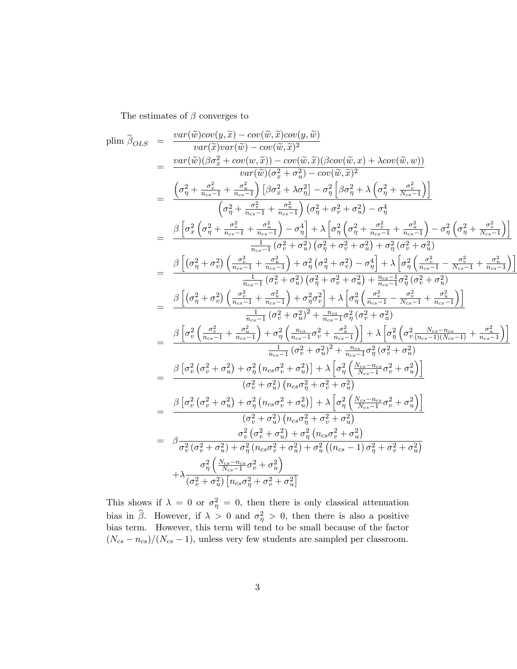The estimates of  $\beta$  converges to

$$
\begin{array}{rcl} \text{plim} \,\,\widehat{\beta}_{OLS} & = & \dfrac{var(\widehat{w})cov(y,\widehat{x}) - cov(\widehat{w},\widehat{x})cov(y,\widehat{w})}{var(\widehat{w}) - cov(\widehat{w},\widehat{x})^2} \cr & = & \dfrac{var(\widehat{w})(\beta\sigma_x^2 + cov(w,\widehat{x})) - cov(\widehat{w},\widehat{x})(\beta cov(\widehat{w},x) + \lambda cov(\widehat{w},w))}{var(\widehat{w})\left(\sigma_x^2 + \sigma_w^2\right) - cov(\widehat{w},\widehat{x})^2} \cr & = & \dfrac{\left(\sigma_\eta^2 + \frac{\sigma_v^2}{n_{cos}-1} + \frac{\sigma_v^2}{n_{cos}-1}\right)\left[\beta\sigma_x^2 + \lambda\sigma_\eta^2\right] - \sigma_\eta^2\left[\beta\sigma_\eta^2 + \lambda\left(\sigma_\eta^2 + \frac{\sigma_v^2}{N_{cos}-1}\right)\right]}{\left(\sigma_\eta^2 + \frac{\sigma_v^2}{n_{cos}-1} + \frac{\sigma_u^2}{n_{cos}-1}\right)\left(\sigma_\eta^2 + \sigma_v^2 + \sigma_w^2\right) - \sigma_\eta^4} \cr & = & \dfrac{\beta\left[\sigma_x^2\left(\sigma_\eta^2 + \frac{\sigma_v^2}{n_{cos}-1} + \frac{\sigma_v^2}{n_{cos}-1}\right) - \sigma_\eta^4\right] + \lambda\left[\sigma_\eta^2\left(\sigma_\eta^2 + \sigma_v^2 + \sigma_w^2\right) - \sigma_\eta^4\right]}{\frac{1}{n_{cos}-1}\left(\sigma_v^2 + \sigma_w^2\right)\left(\sigma_\eta^2 + \sigma_v^2 + \sigma_w^2\right) - \sigma_\eta^4\right] + \lambda\left[\sigma_\eta^2\left(\sigma_x^2 + \sigma_w^2\right) \cr & = & \dfrac{\beta\left[\left(\sigma_\eta^2 + \sigma_v^2\right)\left(\frac{\sigma_v^2}{n_{cos}-1} + \frac{\sigma_v^2}{n_{cos}-1}\right) + \sigma_\eta^2\left(\sigma_\eta^2 + \sigma_v^2\right) - \sigma_\eta^4\right] + \lambda\left[\sigma_\eta^2\left(\frac{\sigma_v^2}{n_{cos}-1} + \frac{\sigma_v^2}{n_{cos}-1}\right)\right]}{\frac{1}{n_{cos}-1}\left(\sigma_v^2 + \sigma_w^2\right)\left(\sigma_\eta^2 + \sigma_v^2 + \
$$

This shows if  $\lambda = 0$  or  $\sigma_{\eta}^2 = 0$ , then there is only classical attenuation bias in  $\hat{\beta}$ . However, if  $\lambda > 0$  and  $\sigma_{\eta}^2 > 0$ , then there is also a positive bias term. However, this term will tend to be small because of the factor  $(N_{cs} - n_{cs})/(N_{cs} - 1)$ , unless very few students are sampled per classroom.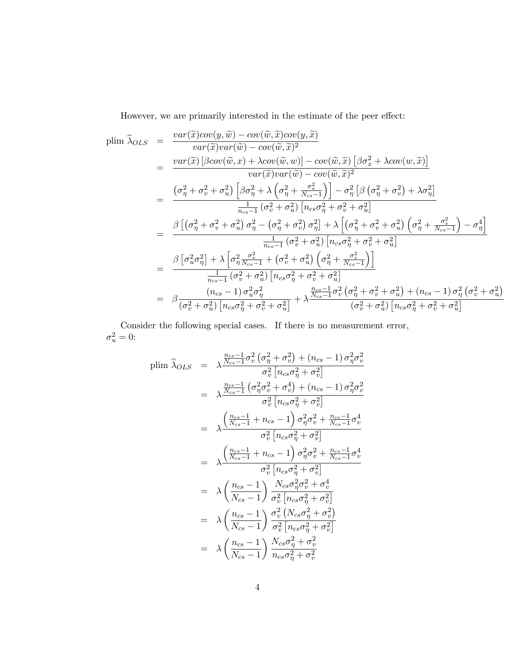However, we are primarily interested in the estimate of the peer effect:

$$
\text{plim }\hat{\lambda}_{OLS} = \frac{var(\tilde{x})cov(y,\tilde{w}) - cov(\tilde{w},\tilde{x})cov(y,\tilde{x})}{var(\tilde{x})var(\tilde{w}) - cov(\tilde{w},\tilde{x})^2} \n= \frac{var(\tilde{x})\left[\beta cov(\tilde{w},x) + \lambda cov(\tilde{w},w)\right] - cov(\tilde{w},\tilde{x})\left[\beta\sigma_x^2 + \lambda cov(w,\tilde{x})\right]}{var(\tilde{x})var(\tilde{w}) - cov(\tilde{w},\tilde{x})^2} \n= \frac{\left(\sigma_\eta^2 + \sigma_v^2 + \sigma_u^2\right)\left[\beta\sigma_\eta^2 + \lambda\left(\sigma_\eta^2 + \frac{\sigma_v^2}{N_{cs}-1}\right)\right] - \sigma_\eta^2\left[\beta\left(\sigma_\eta^2 + \sigma_v^2\right) + \lambda\sigma_\eta^2\right]}{\frac{1}{n_{cs}-1}\left(\sigma_v^2 + \sigma_u^2\right)\left[n_{cs}\sigma_\eta^2 + \sigma_v^2 + \sigma_u^2\right]} \n= \frac{\beta\left[\left(\sigma_\eta^2 + \sigma_v^2 + \sigma_u^2\right)\sigma_\eta^2 - \left(\sigma_\eta^2 + \sigma_v^2\right)\sigma_\eta^2\right] + \lambda\left[\left(\sigma_\eta^2 + \sigma_v^2 + \sigma_u^2\right)\left(\sigma_\eta^2 + \frac{\sigma_v^2}{N_{cs}-1}\right) - \sigma_\eta^4\right]}{\frac{1}{n_{cs}-1}\left(\sigma_v^2 + \sigma_u^2\right)\left[n_{cs}\sigma_\eta^2 + \sigma_v^2 + \sigma_u^2\right]} \n= \frac{\beta\left[\sigma_u^2\sigma_\eta^2\right] + \lambda\left[\sigma_\eta^2\frac{\sigma_v^2}{N_{cs}-1} + \left(\sigma_v^2 + \sigma_u^2\right)\left(\sigma_\eta^2 + \frac{\sigma_v^2}{N_{cs}-1}\right)\right]}{\frac{1}{n_{cs}-1}\left(\sigma_v^2 + \sigma_u^2\right)\left[n_{cs}\sigma_\eta^2 + \sigma_v^2 + \sigma_u^2\right]} \n= \frac{\beta\left[n_{cs}^2\sigma_\eta^2\right] + \lambda\left[n_{cs}^2\sigma_\eta^2 + \sigma_v^2 + \sigma_u^2\right]}{\left(n_{cs}-1\right)\sigma_u^2\sigma_\eta^2 + \sigma_v^2 + \sigma_u^2\right
$$

Consider the following special cases. If there is no measurement error,  $\sigma^2_u = 0$ :

$$
\begin{aligned}\n\text{plim } \widehat{\lambda}_{OLS} &= \lambda \frac{\frac{n_{cs} - 1}{N_{cs} - 1} \sigma_v^2 \left(\sigma_\eta^2 + \sigma_v^2\right) + (n_{cs} - 1) \sigma_\eta^2 \sigma_v^2}{\sigma_v^2 \left[n_{cs} \sigma_\eta^2 + \sigma_v^2\right]} \\
&= \lambda \frac{\frac{n_{cs} - 1}{N_{cs} - 1} \left(\sigma_\eta^2 \sigma_v^2 + \sigma_v^4\right) + (n_{cs} - 1) \sigma_\eta^2 \sigma_v^2}{\sigma_v^2 \left[n_{cs} \sigma_\eta^2 + \sigma_v^2\right]} \\
&= \lambda \frac{\left(\frac{n_{cs} - 1}{N_{cs} - 1} + n_{cs} - 1\right) \sigma_\eta^2 \sigma_v^2 + \frac{n_{cs} - 1}{N_{cs} - 1} \sigma_v^4}{\sigma_v^2 \left[n_{cs} \sigma_\eta^2 + \sigma_v^2\right]} \\
&= \lambda \frac{\left(\frac{n_{cs} - 1}{N_{cs} - 1} + n_{cs} - 1\right) \sigma_\eta^2 \sigma_v^2 + \frac{n_{cs} - 1}{N_{cs} - 1} \sigma_v^4}{\sigma_v^2 \left[n_{cs} \sigma_\eta^2 + \sigma_v^2\right]} \\
&= \lambda \left(\frac{n_{cs} - 1}{N_{cs} - 1}\right) \frac{N_{cs} \sigma_\eta^2 \sigma_v^2 + \sigma_v^4}{\sigma_v^2 \left[n_{cs} \sigma_\eta^2 + \sigma_v^2\right]} \\
&= \lambda \left(\frac{n_{cs} - 1}{N_{cs} - 1}\right) \frac{\sigma_v^2 \left(N_{cs} \sigma_\eta^2 + \sigma_v^2\right)}{\sigma_v^2 \left[n_{cs} \sigma_\eta^2 + \sigma_v^2\right]} \\
&= \lambda \left(\frac{n_{cs} - 1}{N_{cs} - 1}\right) \frac{N_{cs} \sigma_\eta^2 + \sigma_v^2}{n_{cs} \sigma_\eta^2 + \sigma_v^2} \\
&= \lambda \left(\frac{n_{cs} - 1}{N_{cs} - 1}\right) \frac{N_{cs} \sigma_\eta^2 + \sigma_v^2}{n_{cs} \sigma_\eta^2 + \sigma_v^2}\n\end{aligned}
$$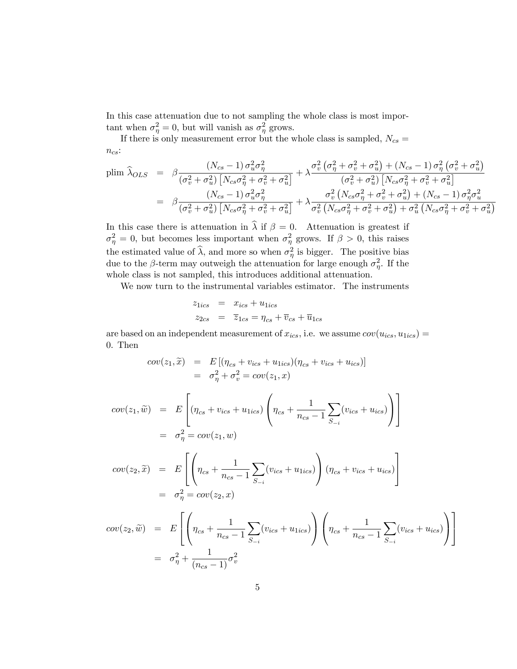In this case attenuation due to not sampling the whole class is most important when  $\sigma_{\eta}^2 = 0$ , but will vanish as  $\sigma_{\eta}^2$  grows.

If there is only measurement error but the whole class is sampled,  $N_{cs} =$  $n_{cs}$ :

$$
\text{plim } \widehat{\lambda}_{OLS} = \beta \frac{(N_{cs} - 1) \sigma_u^2 \sigma_\eta^2}{(\sigma_v^2 + \sigma_u^2) \left[N_{cs} \sigma_\eta^2 + \sigma_v^2 + \sigma_u^2\right]} + \lambda \frac{\sigma_v^2 \left(\sigma_\eta^2 + \sigma_v^2 + \sigma_u^2\right) + (N_{cs} - 1) \sigma_\eta^2 \left(\sigma_v^2 + \sigma_u^2\right)}{\left(\sigma_v^2 + \sigma_u^2\right) \left[N_{cs} \sigma_\eta^2 + \sigma_v^2 + \sigma_u^2\right]} \\
= \beta \frac{(N_{cs} - 1) \sigma_u^2 \sigma_\eta^2}{(\sigma_v^2 + \sigma_u^2) \left[N_{cs} \sigma_\eta^2 + \sigma_v^2 + \sigma_u^2\right]} + \lambda \frac{\sigma_v^2 \left(N_{cs} \sigma_\eta^2 + \sigma_v^2 + \sigma_u^2\right) + (N_{cs} - 1) \sigma_\eta^2 \sigma_u^2}{\sigma_v^2 \left(N_{cs} \sigma_\eta^2 + \sigma_v^2 + \sigma_u^2\right) + \sigma_u^2 \left(N_{cs} \sigma_\eta^2 + \sigma_v^2 + \sigma_u^2\right)}\n\tag{8.133}
$$

In this case there is attenuation in  $\hat{\lambda}$  if  $\beta = 0$ . Attenuation is greatest if  $\sigma_{\eta}^2 = 0$ , but becomes less important when  $\sigma_{\eta}^2$  grows. If  $\beta > 0$ , this raises the estimated value of  $\hat{\lambda}$ , and more so when  $\sigma_{\eta}^2$  is bigger. The positive bias due to the  $\beta$ -term may outweigh the attenuation for large enough  $\sigma_{\eta}^2$ . If the whole class is not sampled, this introduces additional attenuation.

We now turn to the instrumental variables estimator. The instruments

$$
z_{1ics} = x_{ics} + u_{1ics}
$$
  

$$
z_{2cs} = \overline{z}_{1cs} = \eta_{cs} + \overline{v}_{cs} + \overline{u}_{1cs}
$$

are based on an independent measurement of  $x_{ics}$ , i.e. we assume  $cov(u_{ics}, u_{1ics}) =$ 0. Then

$$
cov(z_1, \widetilde{x}) = E[(\eta_{cs} + v_{ics} + u_{1ics})(\eta_{cs} + v_{ics} + u_{ics})]
$$
  
=  $\sigma_{\eta}^2 + \sigma_{v}^2 = cov(z_1, x)$ 

$$
cov(z_1, \tilde{w}) = E\left[ (\eta_{cs} + v_{ics} + u_{1ics}) \left( \eta_{cs} + \frac{1}{n_{cs} - 1} \sum_{S_{-i}} (v_{ics} + u_{ics}) \right) \right]
$$
  
\n
$$
= \sigma_{\eta}^2 = cov(z_1, w)
$$
  
\n
$$
cov(z_2, \tilde{x}) = E\left[ \left( \eta_{cs} + \frac{1}{n_{cs} - 1} \sum_{S_{-i}} (v_{ics} + u_{1ics}) \right) (\eta_{cs} + v_{ics} + u_{ics}) \right]
$$
  
\n
$$
= \sigma_{\eta}^2 = cov(z_2, x)
$$
  
\n
$$
cov(z_2, \tilde{w}) = E\left[ \left( \eta_{cs} + \frac{1}{n_{cs} - 1} \sum_{S_{-i}} (v_{ics} + u_{1ics}) \right) \left( \eta_{cs} + \frac{1}{n_{cs} - 1} \sum_{S_{-i}} (v_{ics} + u_{ics}) \right) \right]
$$
  
\n
$$
= \sigma_{\eta}^2 + \frac{1}{(n_{cs} - 1)} \sigma_v^2
$$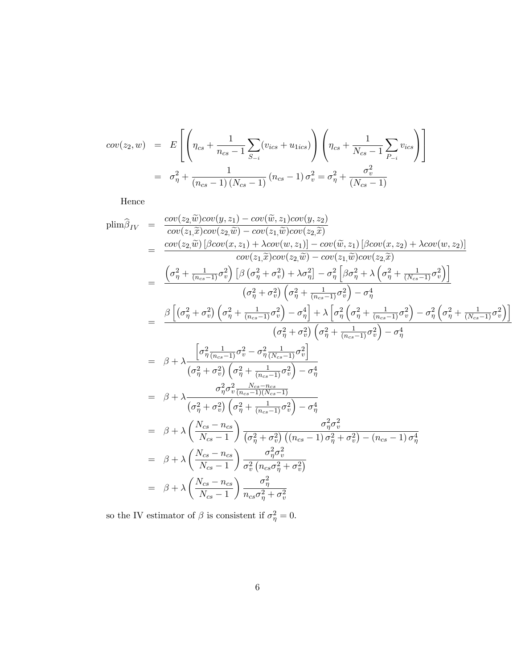$$
cov(z_2, w) = E\left[ \left( \eta_{cs} + \frac{1}{n_{cs} - 1} \sum_{S_{-i}} (v_{ics} + u_{1ics}) \right) \left( \eta_{cs} + \frac{1}{N_{cs} - 1} \sum_{P_{-i}} v_{ics} \right) \right]
$$
  
=  $\sigma_{\eta}^2 + \frac{1}{(n_{cs} - 1) (N_{cs} - 1)} (n_{cs} - 1) \sigma_v^2 = \sigma_{\eta}^2 + \frac{\sigma_v^2}{(N_{cs} - 1)}$ 

Hence

$$
plim\hat{\beta}_{IV} = \frac{cov(z_{2}\tilde{w})cov(y,z_{1}) - cov(\tilde{w},z_{1})cov(y,z_{2})}{cov(z_{2}\tilde{w}) - cov(z_{1}\tilde{w})cov(z_{2}\tilde{x})}
$$
\n
$$
= \frac{cov(z_{2}\tilde{w})\left[\beta cov(z,z_{1}) + \lambda cov(w,z_{1})\right] - cov(\tilde{w},z_{1})\left[\beta cov(x,z_{2}) + \lambda cov(w,z_{2})\right]}{cov(z_{1}\tilde{w})cov(z_{2}\tilde{w}) - cov(z_{1}\tilde{w})cov(z_{2}\tilde{x})}
$$
\n
$$
= \frac{\left(\sigma_{\eta}^{2} + \frac{1}{(n_{cs}-1)}\sigma_{\tilde{v}}^{2}\right)\left[\beta\left(\sigma_{\eta}^{2} + \sigma_{\tilde{v}}^{2}\right) + \lambda\sigma_{\eta}^{2}\right] - \sigma_{\eta}^{2}\left[\beta\sigma_{\eta}^{2} + \lambda\left(\sigma_{\eta}^{2} + \frac{1}{(N_{cs}-1)}\sigma_{\tilde{v}}^{2}\right)\right]}{\left(\sigma_{\eta}^{2} + \sigma_{\tilde{v}}^{2}\right)\left(\sigma_{\eta}^{2} + \frac{1}{(n_{cs}-1)}\sigma_{\tilde{v}}^{2}\right) - \sigma_{\eta}^{4}}
$$
\n
$$
= \frac{\beta\left[\left(\sigma_{\eta}^{2} + \sigma_{\tilde{v}}^{2}\right)\left(\sigma_{\eta}^{2} + \frac{1}{(n_{cs}-1)}\sigma_{\tilde{v}}^{2}\right) - \sigma_{\eta}^{4}\right] + \lambda\left[\sigma_{\eta}^{2}\left(\sigma_{\eta}^{2} + \frac{1}{(n_{cs}-1)}\sigma_{\tilde{v}}^{2}\right) - \sigma_{\eta}^{2}\left(\sigma_{\eta}^{2} + \frac{1}{(N_{cs}-1)}\sigma_{\tilde{v}}^{2}\right)\right]}{\left(\sigma_{\eta}^{2} + \sigma_{\tilde{v}}^{2}\right)\left(\sigma_{\eta}^{2} + \frac{1}{(n_{cs}-1)}\sigma_{\tilde{v}}^{2}\right)} - \sigma_{\eta}^{4}
$$
\n
$$
= \beta + \lambda\frac{\left[\sigma_{\eta}^{2}\frac{1}{(n_{cs}-1)}\sigma_{\tilde{v}}^{2} - \sigma_{\eta}^{2}\frac{1
$$

so the IV estimator of  $\beta$  is consistent if  $\sigma_{\eta}^2 = 0$ .